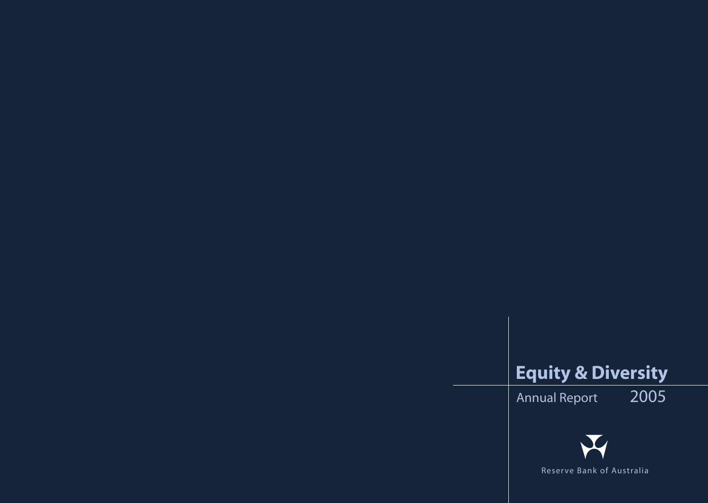# **Equity & Diversity**

Annual Report 2005



Reser ve Bank of Australia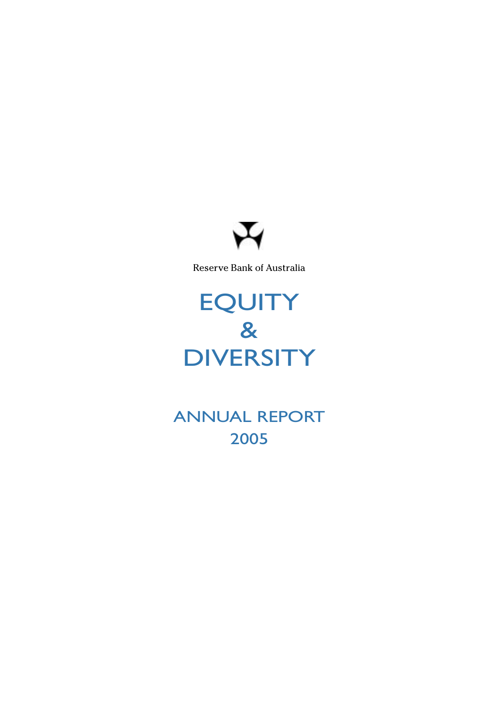

Reserve Bank of Australia

# **EQUITY** & **DIVERSITY**

ANNUAL REPORT 2005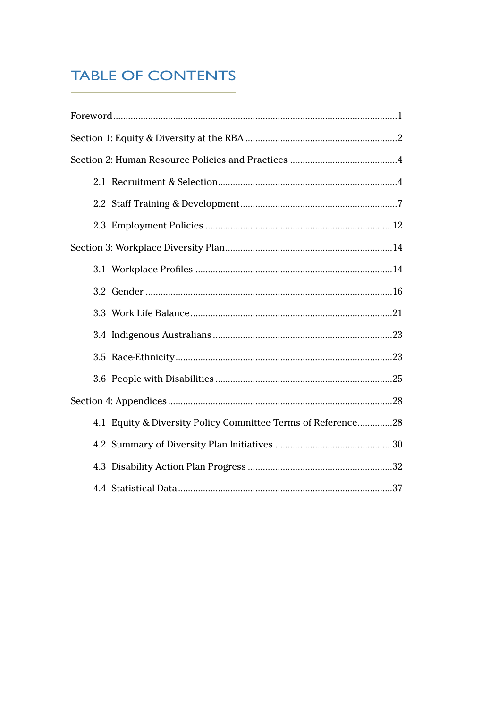## **TABLE OF CONTENTS**

| 4.1 Equity & Diversity Policy Committee Terms of Reference28 |
|--------------------------------------------------------------|
|                                                              |
|                                                              |
|                                                              |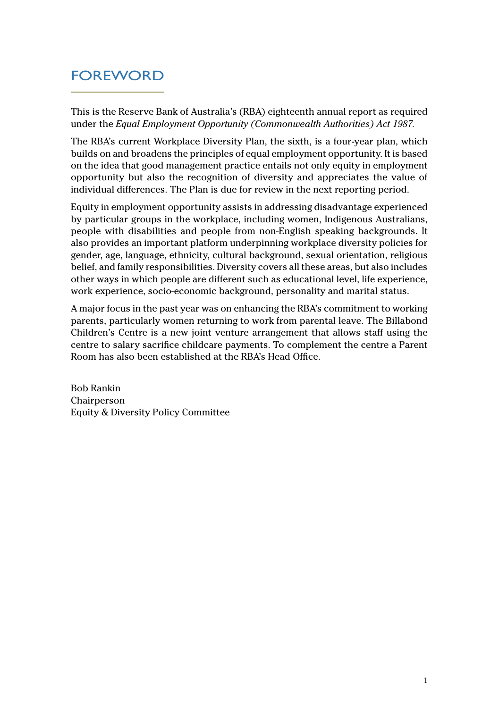### <span id="page-3-0"></span>FOREWORD

This is the Reserve Bank of Australia's (RBA) eighteenth annual report as required under the *Equal Employment Opportunity (Commonwealth Authorities) Act 1987.*

The RBA's current Workplace Diversity Plan, the sixth, is a four-year plan, which builds on and broadens the principles of equal employment opportunity. It is based on the idea that good management practice entails not only equity in employment opportunity but also the recognition of diversity and appreciates the value of individual differences. The Plan is due for review in the next reporting period.

Equity in employment opportunity assists in addressing disadvantage experienced by particular groups in the workplace, including women, Indigenous Australians, people with disabilities and people from non-English speaking backgrounds. It also provides an important platform underpinning workplace diversity policies for gender, age, language, ethnicity, cultural background, sexual orientation, religious belief, and family responsibilities. Diversity covers all these areas, but also includes other ways in which people are different such as educational level, life experience, work experience, socio-economic background, personality and marital status.

A major focus in the past year was on enhancing the RBA's commitment to working parents, particularly women returning to work from parental leave. The Billabond Children's Centre is a new joint venture arrangement that allows staff using the centre to salary sacrifice childcare payments. To complement the centre a Parent Room has also been established at the RBA's Head Office.

Bob Rankin Chairperson Equity & Diversity Policy Committee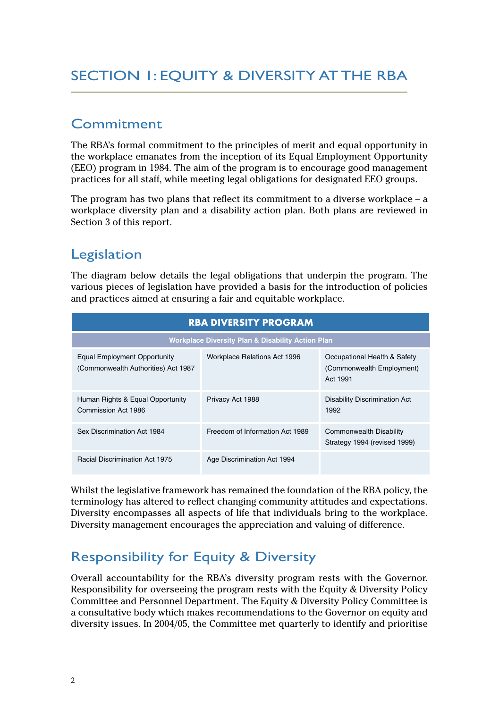### <span id="page-4-0"></span>SECTION 1: EQUITY & DIVERSITY AT THE RBA

#### Commitment

The RBA's formal commitment to the principles of merit and equal opportunity in the workplace emanates from the inception of its Equal Employment Opportunity (EEO) program in 1984. The aim of the program is to encourage good management practices for all staff, while meeting legal obligations for designated EEO groups.

The program has two plans that reflect its commitment to a diverse workplace – a workplace diversity plan and a disability action plan. Both plans are reviewed in Section 3 of this report.

#### Legislation

The diagram below details the legal obligations that underpin the program. The various pieces of legislation have provided a basis for the introduction of policies and practices aimed at ensuring a fair and equitable workplace.

| <b>RBA DIVERSITY PROGRAM</b>                                        |                                                              |                                                                       |  |  |  |  |
|---------------------------------------------------------------------|--------------------------------------------------------------|-----------------------------------------------------------------------|--|--|--|--|
|                                                                     | <b>Workplace Diversity Plan &amp; Disability Action Plan</b> |                                                                       |  |  |  |  |
| Equal Employment Opportunity<br>(Commonwealth Authorities) Act 1987 | Workplace Relations Act 1996                                 | Occupational Health & Safety<br>(Commonwealth Employment)<br>Act 1991 |  |  |  |  |
| Human Rights & Equal Opportunity<br>Commission Act 1986             | Privacy Act 1988                                             | <b>Disability Discrimination Act</b><br>1992                          |  |  |  |  |
| Sex Discrimination Act 1984                                         | Freedom of Information Act 1989                              | Commonwealth Disability<br>Strategy 1994 (revised 1999)               |  |  |  |  |
| <b>Racial Discrimination Act 1975</b>                               | Age Discrimination Act 1994                                  |                                                                       |  |  |  |  |

Whilst the legislative framework has remained the foundation of the RBA policy, the terminology has altered to reflect changing community attitudes and expectations. Diversity encompasses all aspects of life that individuals bring to the workplace. Diversity management encourages the appreciation and valuing of difference.

### Responsibility for Equity & Diversity

Overall accountability for the RBA's diversity program rests with the Governor. Responsibility for overseeing the program rests with the Equity & Diversity Policy Committee and Personnel Department. The Equity & Diversity Policy Committee is a consultative body which makes recommendations to the Governor on equity and diversity issues. In 2004/05, the Committee met quarterly to identify and prioritise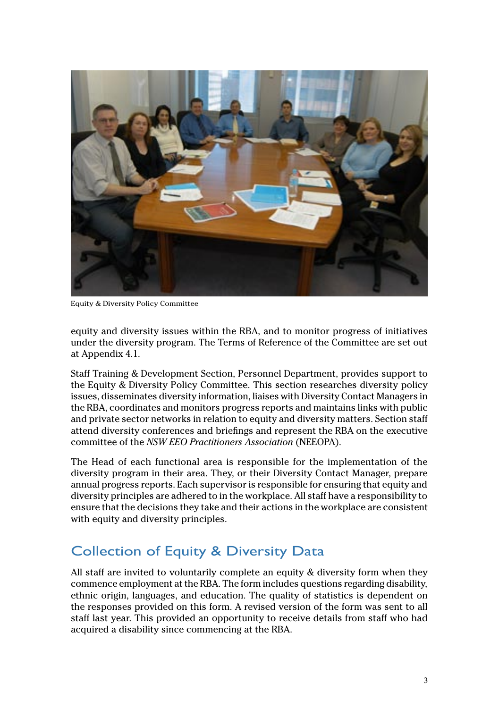

Equity & Diversity Policy Committee

equity and diversity issues within the RBA, and to monitor progress of initiatives under the diversity program. The Terms of Reference of the Committee are set out at Appendix 4.1.

Staff Training & Development Section, Personnel Department, provides support to the Equity & Diversity Policy Committee. This section researches diversity policy issues, disseminates diversity information, liaises with Diversity Contact Managers in the RBA, coordinates and monitors progress reports and maintains links with public and private sector networks in relation to equity and diversity matters. Section staff attend diversity conferences and briefings and represent the RBA on the executive committee of the *NSW EEO Practitioners Association* (NEEOPA).

The Head of each functional area is responsible for the implementation of the diversity program in their area. They, or their Diversity Contact Manager, prepare annual progress reports. Each supervisor is responsible for ensuring that equity and diversity principles are adhered to in the workplace. All staff have a responsibility to ensure that the decisions they take and their actions in the workplace are consistent with equity and diversity principles.

#### Collection of Equity & Diversity Data

All staff are invited to voluntarily complete an equity & diversity form when they commence employment at the RBA. The form includes questions regarding disability, ethnic origin, languages, and education. The quality of statistics is dependent on the responses provided on this form. A revised version of the form was sent to all staff last year. This provided an opportunity to receive details from staff who had acquired a disability since commencing at the RBA.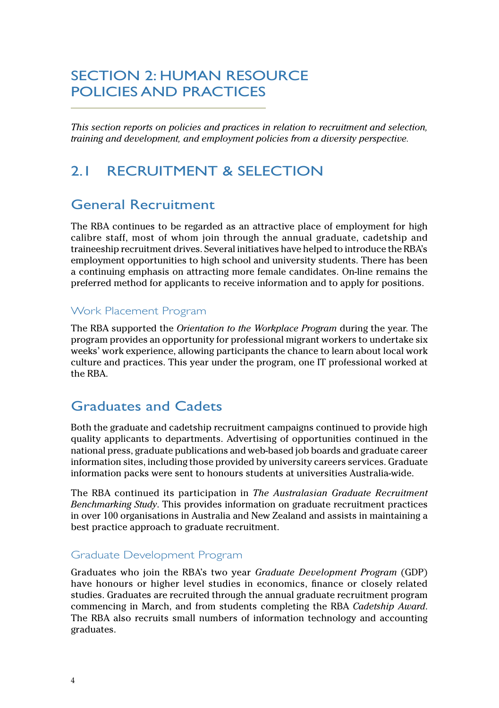### <span id="page-6-0"></span>SECTION 2: HUMAN RESOURCE POLICIES AND PRACTICES

*This section reports on policies and practices in relation to recruitment and selection, training and development, and employment policies from a diversity perspective.*

#### 2.1 RECRUITMENT & SELECTION

#### General Recruitment

The RBA continues to be regarded as an attractive place of employment for high calibre staff, most of whom join through the annual graduate, cadetship and traineeship recruitment drives. Several initiatives have helped to introduce the RBA's employment opportunities to high school and university students. There has been a continuing emphasis on attracting more female candidates. On-line remains the preferred method for applicants to receive information and to apply for positions.

#### Work Placement Program

The RBA supported the *Orientation to the Workplace Program* during the year. The program provides an opportunity for professional migrant workers to undertake six weeks' work experience, allowing participants the chance to learn about local work culture and practices. This year under the program, one IT professional worked at the RBA.

#### Graduates and Cadets

Both the graduate and cadetship recruitment campaigns continued to provide high quality applicants to departments. Advertising of opportunities continued in the national press, graduate publications and web-based job boards and graduate career information sites, including those provided by university careers services. Graduate information packs were sent to honours students at universities Australia-wide.

The RBA continued its participation in *The Australasian Graduate Recruitment Benchmarking Study*. This provides information on graduate recruitment practices in over 100 organisations in Australia and New Zealand and assists in maintaining a best practice approach to graduate recruitment.

#### Graduate Development Program

Graduates who join the RBA's two year *Graduate Development Program* (GDP) have honours or higher level studies in economics, finance or closely related studies. Graduates are recruited through the annual graduate recruitment program commencing in March, and from students completing the RBA *Cadetship Award*. The RBA also recruits small numbers of information technology and accounting graduates.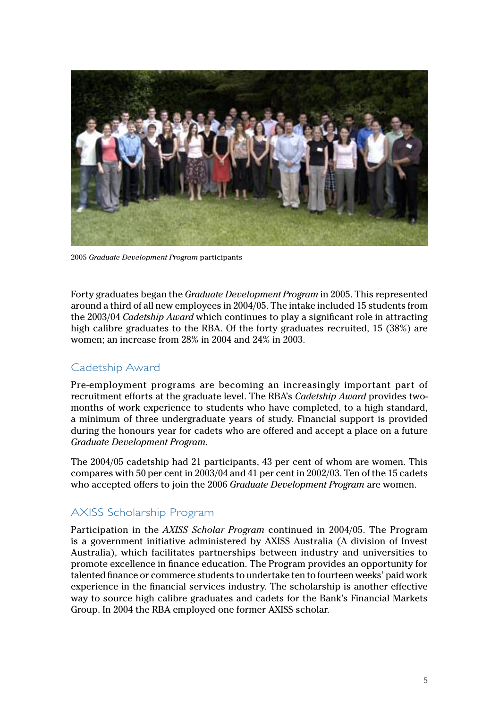

2005 *Graduate Development Program* participants

Forty graduates began the *Graduate Development Program* in 2005. This represented around a third of all new employees in 2004/05. The intake included 15 students from the 2003/04 *Cadetship Award* which continues to play a significant role in attracting high calibre graduates to the RBA. Of the forty graduates recruited, 15 (38%) are women; an increase from 28% in 2004 and 24% in 2003.

#### Cadetship Award

Pre-employment programs are becoming an increasingly important part of recruitment efforts at the graduate level. The RBA's *Cadetship Award* provides twomonths of work experience to students who have completed, to a high standard, a minimum of three undergraduate years of study. Financial support is provided during the honours year for cadets who are offered and accept a place on a future *Graduate Development Program*.

The 2004/05 cadetship had 21 participants, 43 per cent of whom are women. This compares with 50 per cent in 2003/04 and 41 per cent in 2002/03. Ten of the 15 cadets who accepted offers to join the 2006 *Graduate Development Program* are women.

#### AXISS Scholarship Program

Participation in the *AXISS Scholar Program* continued in 2004/05. The Program is a government initiative administered by AXISS Australia (A division of Invest Australia), which facilitates partnerships between industry and universities to promote excellence in finance education. The Program provides an opportunity for talented finance or commerce students to undertake ten to fourteen weeks' paid work experience in the financial services industry. The scholarship is another effective way to source high calibre graduates and cadets for the Bank's Financial Markets Group. In 2004 the RBA employed one former AXISS scholar.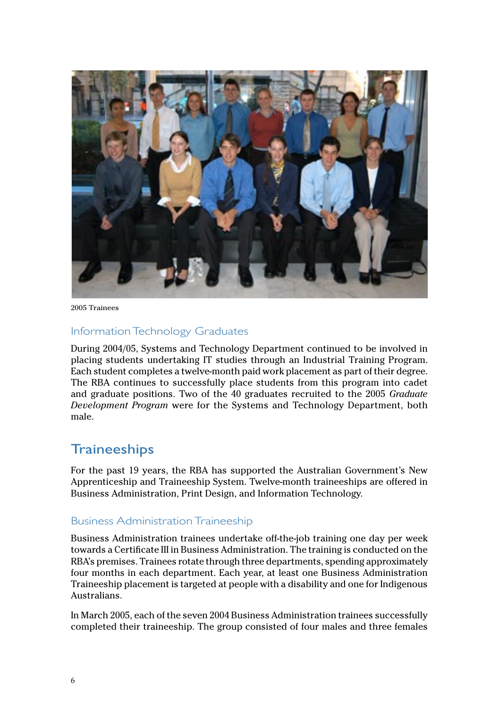

2005 Trainees

#### Information Technology Graduates

During 2004/05, Systems and Technology Department continued to be involved in placing students undertaking IT studies through an Industrial Training Program. Each student completes a twelve-month paid work placement as part of their degree. The RBA continues to successfully place students from this program into cadet and graduate positions. Two of the 40 graduates recruited to the 2005 *Graduate Development Program* were for the Systems and Technology Department, both male.

#### **Traineeships**

For the past 19 years, the RBA has supported the Australian Government's New Apprenticeship and Traineeship System. Twelve-month traineeships are offered in Business Administration, Print Design, and Information Technology.

#### Business Administration Traineeship

Business Administration trainees undertake off-the-job training one day per week towards a Certificate III in Business Administration. The training is conducted on the RBA's premises. Trainees rotate through three departments, spending approximately four months in each department. Each year, at least one Business Administration Traineeship placement is targeted at people with a disability and one for Indigenous Australians.

In March 2005, each of the seven 2004 Business Administration trainees successfully completed their traineeship. The group consisted of four males and three females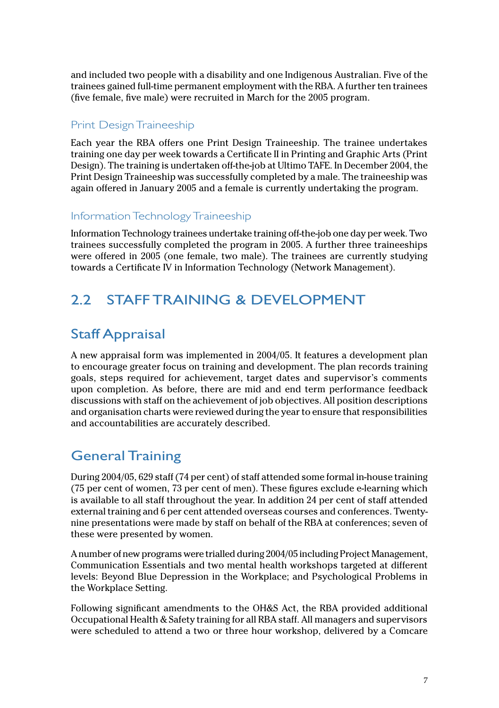<span id="page-9-0"></span>and included two people with a disability and one Indigenous Australian. Five of the trainees gained full-time permanent employment with the RBA. A further ten trainees (five female, five male) were recruited in March for the 2005 program.

#### Print Design Traineeship

Each year the RBA offers one Print Design Traineeship. The trainee undertakes training one day per week towards a Certificate II in Printing and Graphic Arts (Print Design). The training is undertaken off-the-job at Ultimo TAFE. In December 2004, the Print Design Traineeship was successfully completed by a male. The traineeship was again offered in January 2005 and a female is currently undertaking the program.

#### Information Technology Traineeship

Information Technology trainees undertake training off-the-job one day per week. Two trainees successfully completed the program in 2005. A further three traineeships were offered in 2005 (one female, two male). The trainees are currently studying towards a Certificate IV in Information Technology (Network Management).

### 2.2 STAFF TRAINING & DEVELOPMENT

### Staff Appraisal

A new appraisal form was implemented in 2004/05. It features a development plan to encourage greater focus on training and development. The plan records training goals, steps required for achievement, target dates and supervisor's comments upon completion. As before, there are mid and end term performance feedback discussions with staff on the achievement of job objectives. All position descriptions and organisation charts were reviewed during the year to ensure that responsibilities and accountabilities are accurately described.

### General Training

During 2004/05, 629 staff (74 per cent) of staff attended some formal in-house training (75 per cent of women, 73 per cent of men). These figures exclude e-learning which is available to all staff throughout the year. In addition 24 per cent of staff attended external training and 6 per cent attended overseas courses and conferences. Twentynine presentations were made by staff on behalf of the RBA at conferences; seven of these were presented by women.

A number of new programs were trialled during 2004/05 including Project Management, Communication Essentials and two mental health workshops targeted at different levels: Beyond Blue Depression in the Workplace; and Psychological Problems in the Workplace Setting.

Following significant amendments to the OH&S Act, the RBA provided additional Occupational Health & Safety training for all RBA staff. All managers and supervisors were scheduled to attend a two or three hour workshop, delivered by a Comcare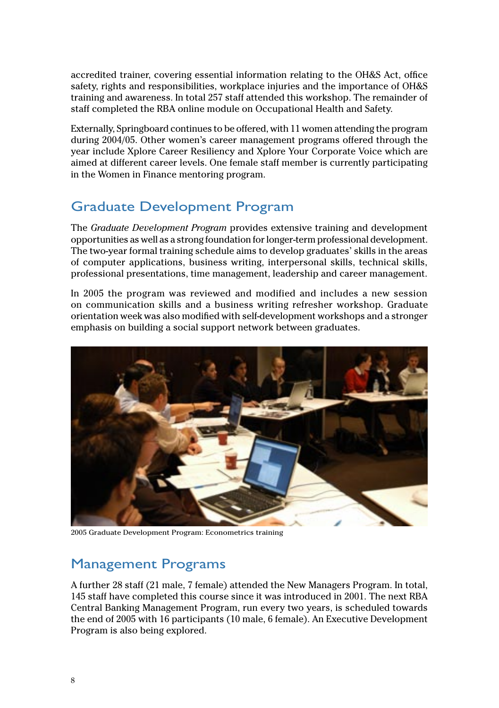accredited trainer, covering essential information relating to the OH&S Act, office safety, rights and responsibilities, workplace injuries and the importance of OH&S training and awareness. In total 257 staff attended this workshop. The remainder of staff completed the RBA online module on Occupational Health and Safety.

Externally, Springboard continues to be offered, with 11 women attending the program during 2004/05. Other women's career management programs offered through the year include Xplore Career Resiliency and Xplore Your Corporate Voice which are aimed at different career levels. One female staff member is currently participating in the Women in Finance mentoring program.

### Graduate Development Program

The *Graduate Development Program* provides extensive training and development opportunities as well as a strong foundation for longer-term professional development. The two-year formal training schedule aims to develop graduates' skills in the areas of computer applications, business writing, interpersonal skills, technical skills, professional presentations, time management, leadership and career management.

In 2005 the program was reviewed and modified and includes a new session on communication skills and a business writing refresher workshop. Graduate orientation week was also modified with self-development workshops and a stronger emphasis on building a social support network between graduates.



2005 Graduate Development Program: Econometrics training

#### Management Programs

A further 28 staff (21 male, 7 female) attended the New Managers Program. In total, 145 staff have completed this course since it was introduced in 2001. The next RBA Central Banking Management Program, run every two years, is scheduled towards the end of 2005 with 16 participants (10 male, 6 female). An Executive Development Program is also being explored.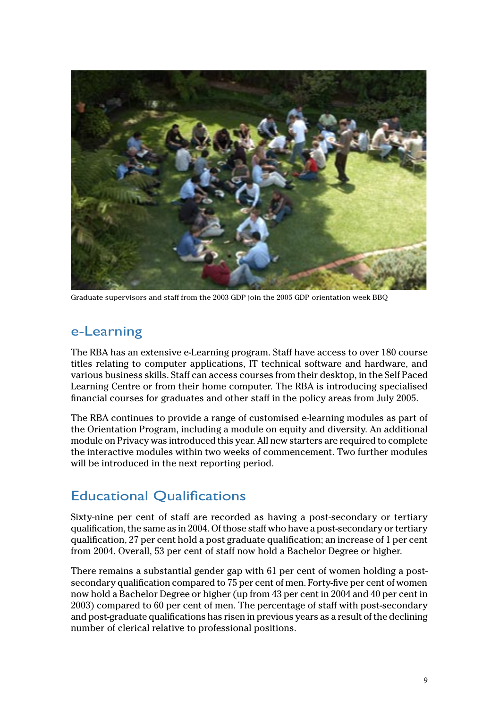

Graduate supervisors and staff from the 2003 GDP join the 2005 GDP orientation week BBQ

#### e-Learning

The RBA has an extensive e-Learning program. Staff have access to over 180 course titles relating to computer applications, IT technical software and hardware, and various business skills. Staff can access courses from their desktop, in the Self Paced Learning Centre or from their home computer. The RBA is introducing specialised financial courses for graduates and other staff in the policy areas from July 2005.

The RBA continues to provide a range of customised e-learning modules as part of the Orientation Program, including a module on equity and diversity. An additional module on Privacy was introduced this year. All new starters are required to complete the interactive modules within two weeks of commencement. Two further modules will be introduced in the next reporting period.

### Educational Qualifications

Sixty-nine per cent of staff are recorded as having a post-secondary or tertiary qualification, the same as in 2004. Of those staff who have a post-secondary or tertiary qualification, 27 per cent hold a post graduate qualification; an increase of 1 per cent from 2004. Overall, 53 per cent of staff now hold a Bachelor Degree or higher.

There remains a substantial gender gap with 61 per cent of women holding a postsecondary qualification compared to 75 per cent of men. Forty-five per cent of women now hold a Bachelor Degree or higher (up from 43 per cent in 2004 and 40 per cent in 2003) compared to 60 per cent of men. The percentage of staff with post-secondary and post-graduate qualifications has risen in previous years as a result of the declining number of clerical relative to professional positions.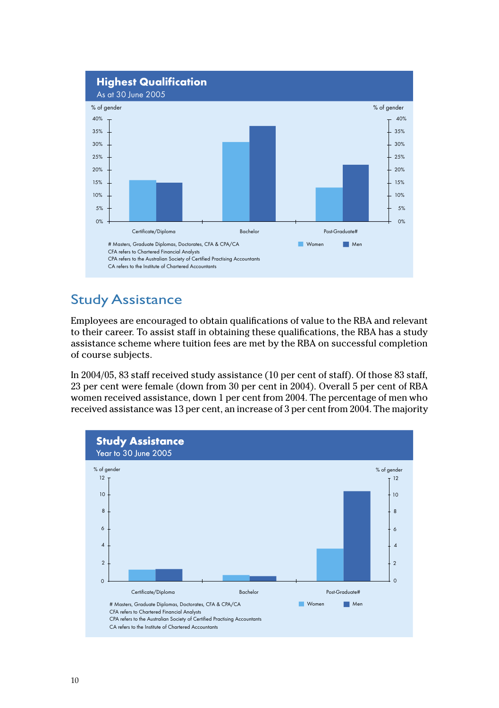

### **Study Assistance**

Employees are encouraged to obtain qualifications of value to the RBA and relevant to their career. To assist staff in obtaining these qualifications, the RBA has a study assistance scheme where tuition fees are met by the RBA on successful completion of course subjects.

In 2004/05, 83 staff received study assistance (10 per cent of staff). Of those 83 staff, 23 per cent were female (down from 30 per cent in 2004). Overall 5 per cent of RBA women received assistance, down 1 per cent from 2004. The percentage of men who received assistance was 13 per cent, an increase of 3 per cent from 2004. The majority

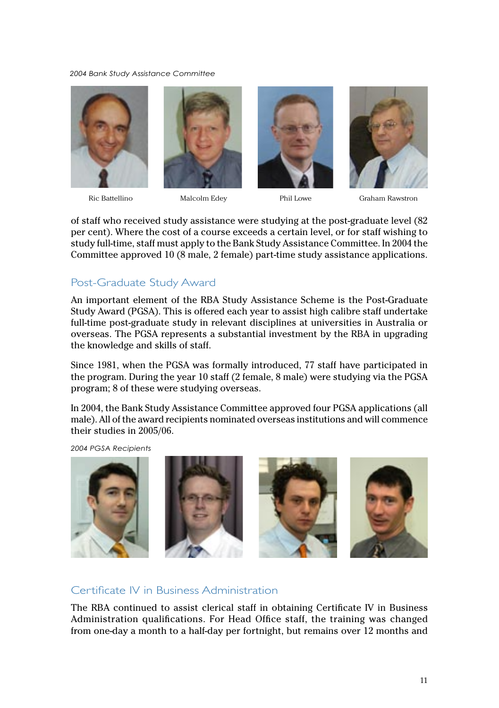*2004 Bank Study Assistance Committee*











of staff who received study assistance were studying at the post-graduate level (82 per cent). Where the cost of a course exceeds a certain level, or for staff wishing to study full-time, staff must apply to the Bank Study Assistance Committee. In 2004 the Committee approved 10 (8 male, 2 female) part-time study assistance applications.

#### Post-Graduate Study Award

An important element of the RBA Study Assistance Scheme is the Post-Graduate Study Award (PGSA). This is offered each year to assist high calibre staff undertake full-time post-graduate study in relevant disciplines at universities in Australia or overseas. The PGSA represents a substantial investment by the RBA in upgrading the knowledge and skills of staff.

Since 1981, when the PGSA was formally introduced, 77 staff have participated in the program. During the year 10 staff (2 female, 8 male) were studying via the PGSA program; 8 of these were studying overseas.

In 2004, the Bank Study Assistance Committee approved four PGSA applications (all male). All of the award recipients nominated overseas institutions and will commence their studies in 2005/06.

*2004 PGSA Recipients*



#### Certificate IV in Business Administration

The RBA continued to assist clerical staff in obtaining Certificate IV in Business Administration qualifications. For Head Office staff, the training was changed from one-day a month to a half-day per fortnight, but remains over 12 months and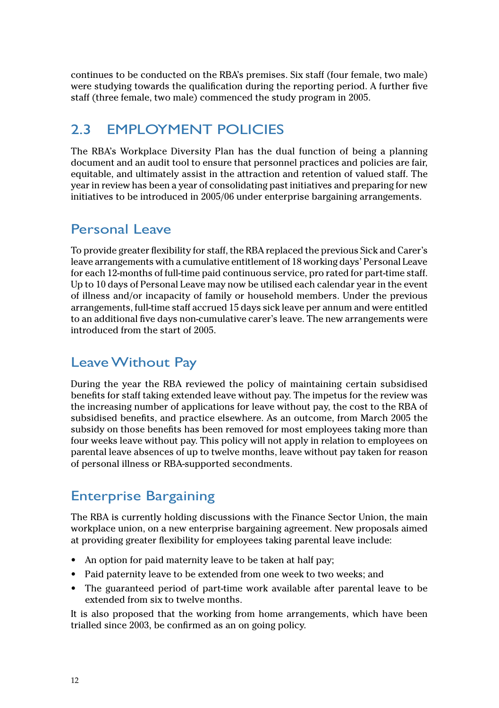<span id="page-14-0"></span>continues to be conducted on the RBA's premises. Six staff (four female, two male) were studying towards the qualification during the reporting period. A further five staff (three female, two male) commenced the study program in 2005.

#### 2.3 EMPLOYMENT POLICIES

The RBA's Workplace Diversity Plan has the dual function of being a planning document and an audit tool to ensure that personnel practices and policies are fair, equitable, and ultimately assist in the attraction and retention of valued staff. The year in review has been a year of consolidating past initiatives and preparing for new initiatives to be introduced in 2005/06 under enterprise bargaining arrangements.

#### Personal Leave

To provide greater flexibility for staff, the RBA replaced the previous Sick and Carer's leave arrangements with a cumulative entitlement of 18 working days' Personal Leave for each 12-months of full-time paid continuous service, pro rated for part-time staff. Up to 10 days of Personal Leave may now be utilised each calendar year in the event of illness and/or incapacity of family or household members. Under the previous arrangements, full-time staff accrued 15 days sick leave per annum and were entitled to an additional five days non-cumulative carer's leave. The new arrangements were introduced from the start of 2005.

#### Leave Without Pay

During the year the RBA reviewed the policy of maintaining certain subsidised benefits for staff taking extended leave without pay. The impetus for the review was the increasing number of applications for leave without pay, the cost to the RBA of subsidised benefits, and practice elsewhere. As an outcome, from March 2005 the subsidy on those benefits has been removed for most employees taking more than four weeks leave without pay. This policy will not apply in relation to employees on parental leave absences of up to twelve months, leave without pay taken for reason of personal illness or RBA-supported secondments.

### Enterprise Bargaining

The RBA is currently holding discussions with the Finance Sector Union, the main workplace union, on a new enterprise bargaining agreement. New proposals aimed at providing greater flexibility for employees taking parental leave include:

- An option for paid maternity leave to be taken at half pay;
- Paid paternity leave to be extended from one week to two weeks; and
- The guaranteed period of part-time work available after parental leave to be extended from six to twelve months.

It is also proposed that the working from home arrangements, which have been trialled since 2003, be confirmed as an on going policy.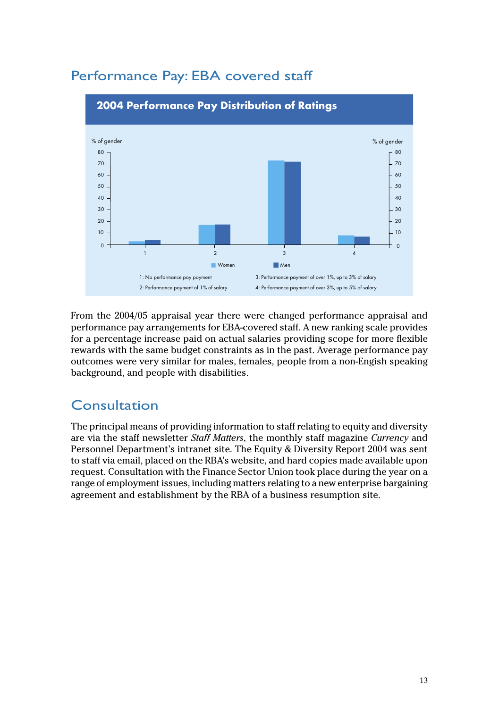

### Performance Pay: EBA covered staff

From the 2004/05 appraisal year there were changed performance appraisal and performance pay arrangements for EBA-covered staff. A new ranking scale provides for a percentage increase paid on actual salaries providing scope for more flexible rewards with the same budget constraints as in the past. Average performance pay outcomes were very similar for males, females, people from a non-Engish speaking background, and people with disabilities.

#### Consultation

The principal means of providing information to staff relating to equity and diversity are via the staff newsletter Staff Matters, the monthly staff magazine Currency and Personnel Department's intranet site. The Equity & Diversity Report 2004 was sent to staff via email, placed on the RBA's website, and hard copies made available upon request. Consultation with the Finance Sector Union took place during the year on a range of employment issues, including matters relating to a new enterprise bargaining agreement and establishment by the RBA of a business resumption site.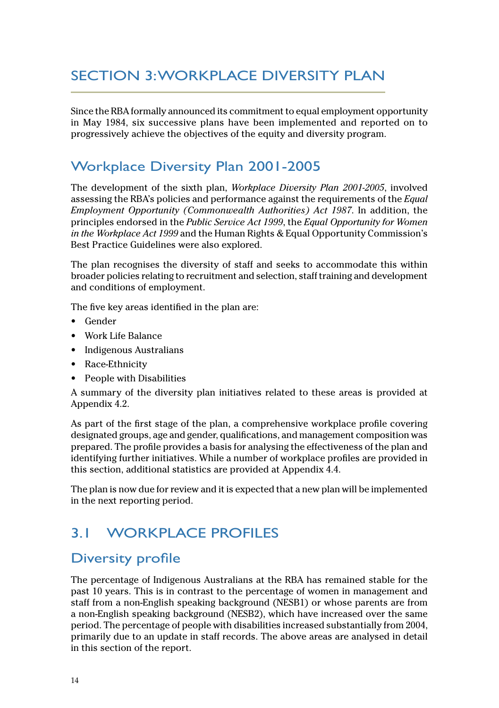### <span id="page-16-0"></span>SECTION 3: WORKPLACE DIVERSITY PLAN

Since the RBA formally announced its commitment to equal employment opportunity in May 1984, six successive plans have been implemented and reported on to progressively achieve the objectives of the equity and diversity program.

#### Workplace Diversity Plan 2001-2005

The development of the sixth plan, *Workplace Diversity Plan 2001-2005*, involved assessing the RBA's policies and performance against the requirements of the *Equal Employment Opportunity (Commonwealth Authorities) Act 1987*. In addition, the principles endorsed in the *Public Service Act 1999*, the *Equal Opportunity for Women in the Workplace Act 1999* and the Human Rights & Equal Opportunity Commission's Best Practice Guidelines were also explored.

The plan recognises the diversity of staff and seeks to accommodate this within broader policies relating to recruitment and selection, staff training and development and conditions of employment.

The five key areas identified in the plan are:

- Gender
- Work Life Balance
- Indigenous Australians
- Race-Ethnicity
- People with Disabilities

A summary of the diversity plan initiatives related to these areas is provided at Appendix 4.2.

As part of the first stage of the plan, a comprehensive workplace profile covering designated groups, age and gender, qualifications, and management composition was prepared. The profile provides a basis for analysing the effectiveness of the plan and identifying further initiatives. While a number of workplace profiles are provided in this section, additional statistics are provided at Appendix 4.4.

The plan is now due for review and it is expected that a new plan will be implemented in the next reporting period.

### 3.1 WORKPLACE PROFILES

#### Diversity profile

The percentage of Indigenous Australians at the RBA has remained stable for the past 10 years. This is in contrast to the percentage of women in management and staff from a non-English speaking background (NESB1) or whose parents are from a non-English speaking background (NESB2), which have increased over the same period. The percentage of people with disabilities increased substantially from 2004, primarily due to an update in staff records. The above areas are analysed in detail in this section of the report.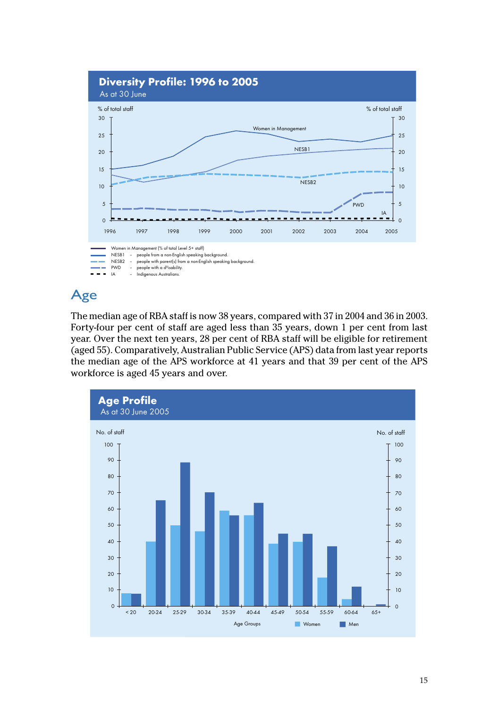

## Age

The median age of RBA staff is now 38 years, compared with 37 in 2004 and 36 in 2003. Forty-four per cent of staff are aged less than 35 years, down 1 per cent from last year. Over the next ten years, 28 per cent of RBA staff will be eligible for retirement (aged 55). Comparatively, Australian Public Service (APS) data from last year reports the median age of the APS workforce at 41 years and that 39 per cent of the APS workforce is aged 45 years and over.

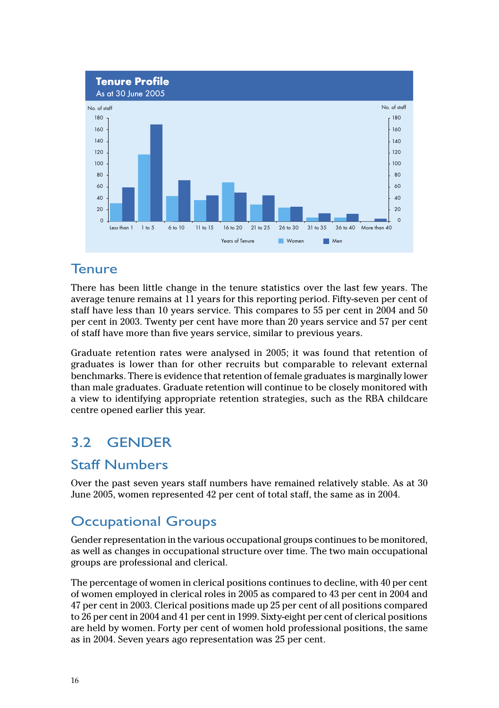<span id="page-18-0"></span>

#### Tenure

There has been little change in the tenure statistics over the last few years. The average tenure remains at 11 years for this reporting period. Fifty-seven per cent of staff have less than 10 years service. This compares to 55 per cent in 2004 and 50 per cent in 2003. Twenty per cent have more than 20 years service and 57 per cent of staff have more than five years service, similar to previous years.

Graduate retention rates were analysed in 2005; it was found that retention of graduates is lower than for other recruits but comparable to relevant external benchmarks. There is evidence that retention of female graduates is marginally lower than male graduates. Graduate retention will continue to be closely monitored with a view to identifying appropriate retention strategies, such as the RBA childcare centre opened earlier this year.

#### $3.2$ **GENDER**

#### **Staff Numbers**

Over the past seven years staff numbers have remained relatively stable. As at 30 June 2005, women represented 42 per cent of total staff, the same as in 2004.

#### **Occupational Groups**

Gender representation in the various occupational groups continues to be monitored, as well as changes in occupational structure over time. The two main occupational groups are professional and clerical.

The percentage of women in clerical positions continues to decline, with 40 per cent of women employed in clerical roles in 2005 as compared to 43 per cent in 2004 and 47 per cent in 2003. Clerical positions made up 25 per cent of all positions compared to 26 per cent in 2004 and 41 per cent in 1999. Sixty-eight per cent of clerical positions are held by women. Forty per cent of women hold professional positions, the same as in 2004. Seven years ago representation was 25 per cent.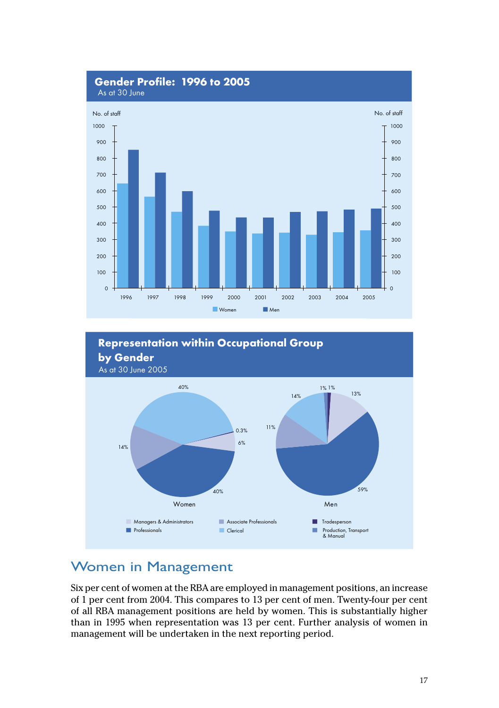



### **Women in Management**

Six per cent of women at the RBA are employed in management positions, an increase of 1 per cent from 2004. This compares to 13 per cent of men. Twenty-four per cent of all RBA management positions are held by women. This is substantially higher than in 1995 when representation was 13 per cent. Further analysis of women in management will be undertaken in the next reporting period.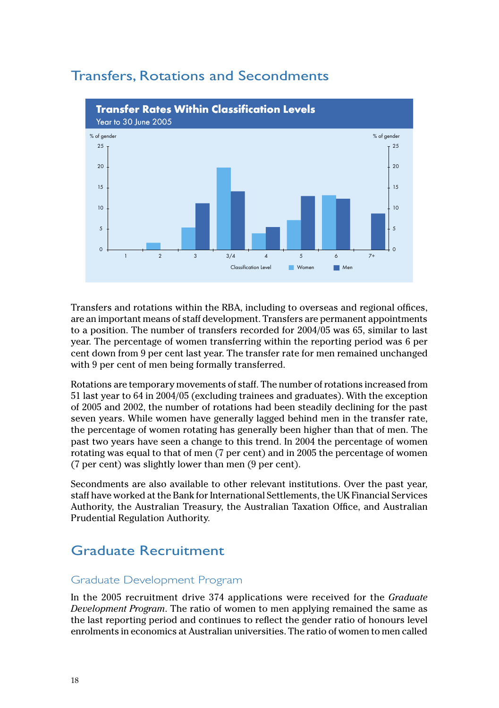

### **Transfers, Rotations and Secondments**

Transfers and rotations within the RBA, including to overseas and regional offices, are an important means of staff development. Transfers are permanent appointments to a position. The number of transfers recorded for 2004/05 was 65, similar to last year. The percentage of women transferring within the reporting period was 6 per cent down from 9 per cent last year. The transfer rate for men remained unchanged with 9 per cent of men being formally transferred.

Rotations are temporary movements of staff. The number of rotations increased from 51 last year to 64 in 2004/05 (excluding trainees and graduates). With the exception of 2005 and 2002, the number of rotations had been steadily declining for the past seven years. While women have generally lagged behind men in the transfer rate, the percentage of women rotating has generally been higher than that of men. The past two years have seen a change to this trend. In 2004 the percentage of women rotating was equal to that of men (7 per cent) and in 2005 the percentage of women (7 per cent) was slightly lower than men (9 per cent).

Secondments are also available to other relevant institutions. Over the past year, staff have worked at the Bank for International Settlements, the UK Financial Services Authority, the Australian Treasury, the Australian Taxation Office, and Australian Prudential Regulation Authority.

### **Graduate Recruitment**

#### Graduate Development Program

In the 2005 recruitment drive 374 applications were received for the Graduate Development Program. The ratio of women to men applying remained the same as the last reporting period and continues to reflect the gender ratio of honours level enrolments in economics at Australian universities. The ratio of women to men called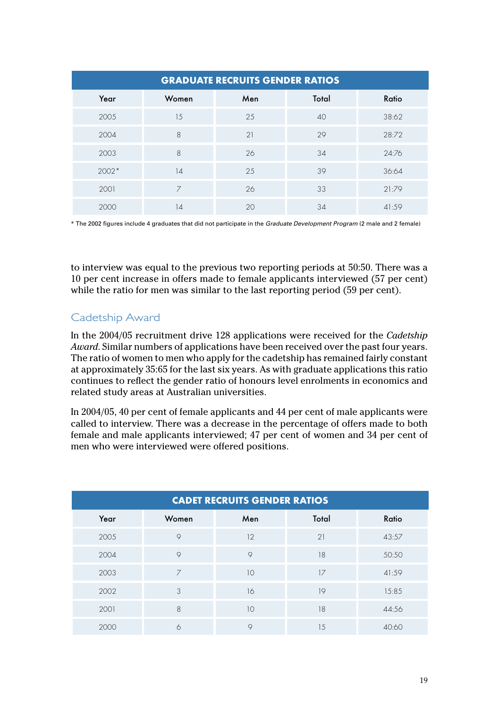| <b>GRADUATE RECRUITS GENDER RATIOS</b> |                |     |       |       |
|----------------------------------------|----------------|-----|-------|-------|
| Year                                   | Women          | Men | Total | Ratio |
| 2005                                   | 1.5            | 25  | 40    | 38:62 |
| 2004                                   | 8              | 21  | 29    | 28:72 |
| 2003                                   | 8              | 26  | 34    | 24:76 |
| $2002*$                                | 14             | 25  | 39    | 36:64 |
| 2001                                   | $\overline{7}$ | 26  | 33    | 21:79 |
| 2000                                   | 14             | 20  | 34    | 41:59 |

\* The 2002 figures include 4 graduates that did not participate in the Graduate Development Program (2 male and 2 female)

to interview was equal to the previous two reporting periods at 50:50. There was a 10 per cent increase in offers made to female applicants interviewed (57 per cent) while the ratio for men was similar to the last reporting period (59 per cent).

#### Cadetship Award

In the 2004/05 recruitment drive 128 applications were received for the *Cadetship Award*. Similar numbers of applications have been received over the past four years. The ratio of women to men who apply for the cadetship has remained fairly constant at approximately 35:65 for the last six years. As with graduate applications this ratio continues to reflect the gender ratio of honours level enrolments in economics and related study areas at Australian universities.

In 2004/05, 40 per cent of female applicants and 44 per cent of male applicants were called to interview. There was a decrease in the percentage of offers made to both female and male applicants interviewed; 47 per cent of women and 34 per cent of men who were interviewed were offered positions.

| <b>CADET RECRUITS GENDER RATIOS</b> |                |         |       |       |
|-------------------------------------|----------------|---------|-------|-------|
| Year                                | Women          | Men     | Total | Ratio |
| 2005                                | $\circ$        | 12      | 21    | 43:57 |
| 2004                                | $\circ$        | $\circ$ | 18    | 50:50 |
| 2003                                | $\overline{7}$ | 10      | 17    | 41:59 |
| 2002                                | 3              | 16      | 19    | 15:85 |
| 2001                                | 8              | 10      | 18    | 44:56 |
| 2000                                | 6              | $\circ$ | 15    | 40:60 |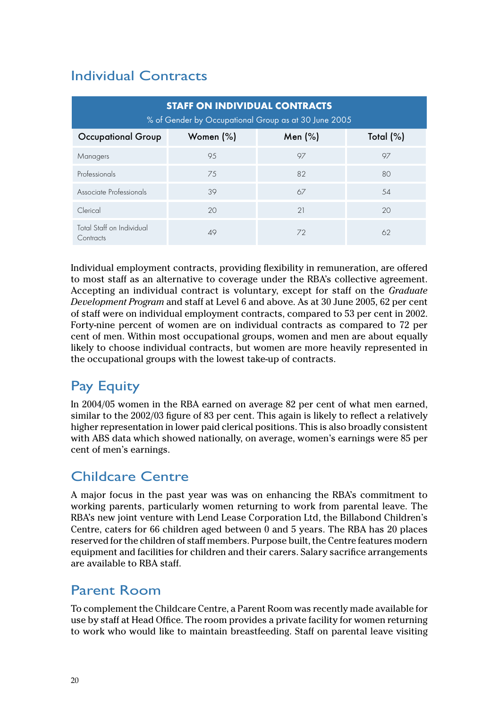### Individual Contracts

| <b>STAFF ON INDIVIDUAL CONTRACTS</b><br>% of Gender by Occupational Group as at 30 June 2005 |              |         |              |  |
|----------------------------------------------------------------------------------------------|--------------|---------|--------------|--|
| <b>Occupational Group</b>                                                                    | Women $(\%)$ | Men (%) | Total $(\%)$ |  |
| Managers                                                                                     | 95           | 97      | 97           |  |
| Professionals                                                                                | 75           | 82      | 80           |  |
| Associate Professionals                                                                      | 39           | 67      | 54           |  |
| Clerical                                                                                     | 20           | 21      | 20           |  |
| Total Staff on Individual<br>Contracts                                                       | 49           | 72      | 62           |  |

Individual employment contracts, providing flexibility in remuneration, are offered to most staff as an alternative to coverage under the RBA's collective agreement. Accepting an individual contract is voluntary, except for staff on the *Graduate Development Program* and staff at Level 6 and above. As at 30 June 2005, 62 per cent of staff were on individual employment contracts, compared to 53 per cent in 2002. Forty-nine percent of women are on individual contracts as compared to 72 per cent of men. Within most occupational groups, women and men are about equally likely to choose individual contracts, but women are more heavily represented in the occupational groups with the lowest take-up of contracts.

## Pay Equity

In 2004/05 women in the RBA earned on average 82 per cent of what men earned, similar to the 2002/03 figure of 83 per cent. This again is likely to reflect a relatively higher representation in lower paid clerical positions. This is also broadly consistent with ABS data which showed nationally, on average, women's earnings were 85 per cent of men's earnings.

### Childcare Centre

A major focus in the past year was was on enhancing the RBA's commitment to working parents, particularly women returning to work from parental leave. The RBA's new joint venture with Lend Lease Corporation Ltd, the Billabond Children's Centre, caters for 66 children aged between 0 and 5 years. The RBA has 20 places reserved for the children of staff members. Purpose built, the Centre features modern equipment and facilities for children and their carers. Salary sacrifice arrangements are available to RBA staff.

### Parent Room

To complement the Childcare Centre, a Parent Room was recently made available for use by staff at Head Office. The room provides a private facility for women returning to work who would like to maintain breastfeeding. Staff on parental leave visiting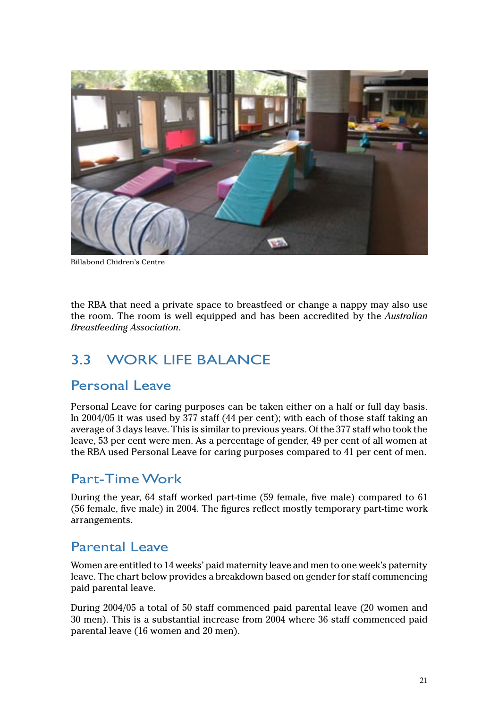<span id="page-23-0"></span>

Billabond Chidren's Centre

the RBA that need a private space to breastfeed or change a nappy may also use the room. The room is well equipped and has been accredited by the *Australian Breastfeeding Association*.

### 3.3 WORK LIFE BALANCE

#### Personal Leave

Personal Leave for caring purposes can be taken either on a half or full day basis. In 2004/05 it was used by 377 staff (44 per cent); with each of those staff taking an average of 3 days leave. This is similar to previous years. Of the 377 staff who took the leave, 53 per cent were men. As a percentage of gender, 49 per cent of all women at the RBA used Personal Leave for caring purposes compared to 41 per cent of men.

#### Part-Time Work

During the year, 64 staff worked part-time (59 female, five male) compared to 61 (56 female, five male) in 2004. The figures reflect mostly temporary part-time work arrangements.

#### Parental Leave

Women are entitled to 14 weeks' paid maternity leave and men to one week's paternity leave. The chart below provides a breakdown based on gender for staff commencing paid parental leave.

During 2004/05 a total of 50 staff commenced paid parental leave (20 women and 30 men). This is a substantial increase from 2004 where 36 staff commenced paid parental leave (16 women and 20 men).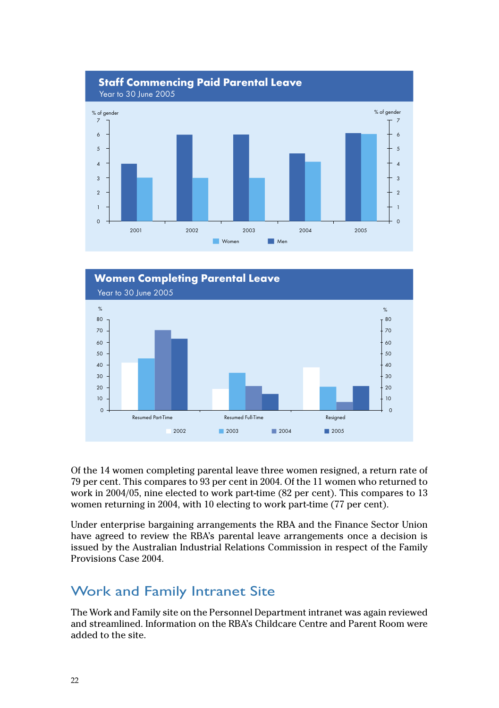



Of the 14 women completing parental leave three women resigned, a return rate of 79 per cent. This compares to 93 per cent in 2004. Of the 11 women who returned to work in 2004/05, nine elected to work part-time (82 per cent). This compares to 13 women returning in 2004, with 10 electing to work part-time (77 per cent).

Under enterprise bargaining arrangements the RBA and the Finance Sector Union have agreed to review the RBA's parental leave arrangements once a decision is issued by the Australian Industrial Relations Commission in respect of the Family Provisions Case 2004.

#### **Work and Family Intranet Site**

The Work and Family site on the Personnel Department intranet was again reviewed and streamlined. Information on the RBA's Childcare Centre and Parent Room were added to the site.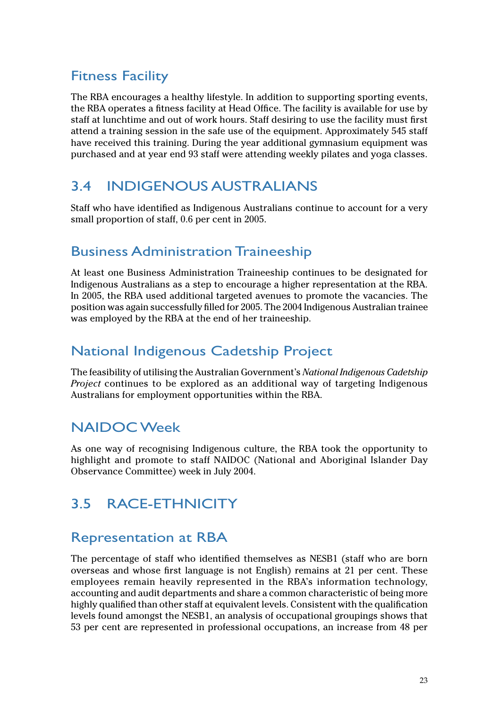### <span id="page-25-0"></span>Fitness Facility

The RBA encourages a healthy lifestyle. In addition to supporting sporting events, the RBA operates a fitness facility at Head Office. The facility is available for use by staff at lunchtime and out of work hours. Staff desiring to use the facility must first attend a training session in the safe use of the equipment. Approximately 545 staff have received this training. During the year additional gymnasium equipment was purchased and at year end 93 staff were attending weekly pilates and yoga classes.

### 3.4 INDIGENOUS AUSTRALIANS

Staff who have identified as Indigenous Australians continue to account for a very small proportion of staff, 0.6 per cent in 2005.

#### Business Administration Traineeship

At least one Business Administration Traineeship continues to be designated for Indigenous Australians as a step to encourage a higher representation at the RBA. In 2005, the RBA used additional targeted avenues to promote the vacancies. The position was again successfully filled for 2005. The 2004 Indigenous Australian trainee was employed by the RBA at the end of her traineeship.

#### National Indigenous Cadetship Project

The feasibility of utilising the Australian Government's *National Indigenous Cadetship Project* continues to be explored as an additional way of targeting Indigenous Australians for employment opportunities within the RBA.

#### NAIDOC Week

As one way of recognising Indigenous culture, the RBA took the opportunity to highlight and promote to staff NAIDOC (National and Aboriginal Islander Day Observance Committee) week in July 2004.

### 3.5 RACE-ETHNICITY

#### Representation at RBA

The percentage of staff who identified themselves as NESB1 (staff who are born overseas and whose first language is not English) remains at 21 per cent. These employees remain heavily represented in the RBA's information technology, accounting and audit departments and share a common characteristic of being more highly qualified than other staff at equivalent levels. Consistent with the qualification levels found amongst the NESB1, an analysis of occupational groupings shows that 53 per cent are represented in professional occupations, an increase from 48 per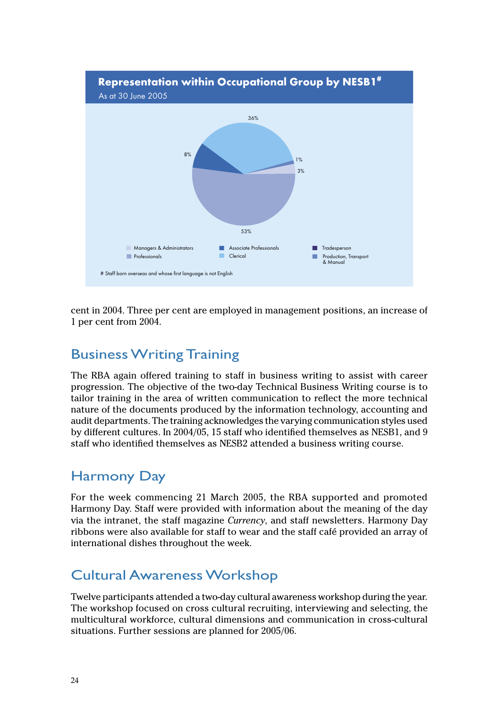

cent in 2004. Three per cent are employed in management positions, an increase of 1 per cent from 2004.

### **Business Writing Training**

The RBA again offered training to staff in business writing to assist with career progression. The objective of the two-day Technical Business Writing course is to tailor training in the area of written communication to reflect the more technical nature of the documents produced by the information technology, accounting and audit departments. The training acknowledges the varying communication styles used by different cultures. In 2004/05, 15 staff who identified themselves as NESB1, and 9 staff who identified themselves as NESB2 attended a business writing course.

### **Harmony Day**

For the week commencing 21 March 2005, the RBA supported and promoted Harmony Day. Staff were provided with information about the meaning of the day via the intranet, the staff magazine Currency, and staff newsletters. Harmony Day ribbons were also available for staff to wear and the staff café provided an array of international dishes throughout the week.

### **Cultural Awareness Workshop**

Twelve participants attended a two-day cultural awareness workshop during the year. The workshop focused on cross cultural recruiting, interviewing and selecting, the multicultural workforce, cultural dimensions and communication in cross-cultural situations. Further sessions are planned for 2005/06.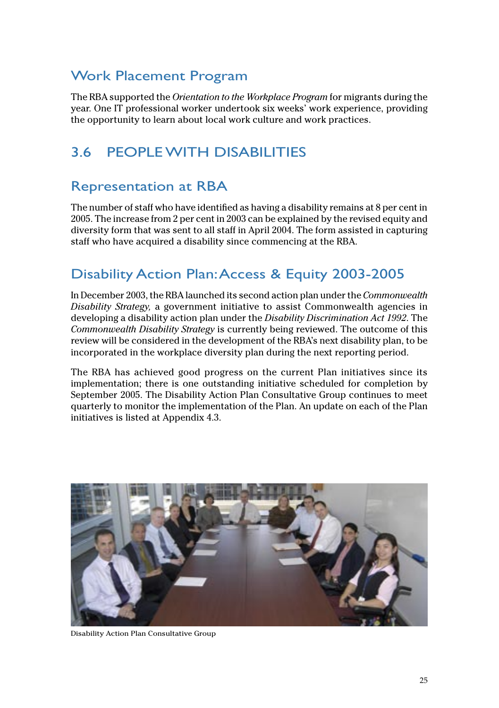#### <span id="page-27-0"></span>Work Placement Program

The RBA supported the *Orientation to the Workplace Program* for migrants during the year. One IT professional worker undertook six weeks' work experience, providing the opportunity to learn about local work culture and work practices.

## 3.6 PEOPLE WITH DISABILITIES

#### Representation at RBA

The number of staff who have identified as having a disability remains at 8 per cent in 2005. The increase from 2 per cent in 2003 can be explained by the revised equity and diversity form that was sent to all staff in April 2004. The form assisted in capturing staff who have acquired a disability since commencing at the RBA.

### Disability Action Plan: Access & Equity 2003-2005

In December 2003, the RBA launched its second action plan under the *Commonwealth Disability Strategy,* a government initiative to assist Commonwealth agencies in developing a disability action plan under the *Disability Discrimination Act 1992*. The *Commonwealth Disability Strategy* is currently being reviewed. The outcome of this review will be considered in the development of the RBA's next disability plan, to be incorporated in the workplace diversity plan during the next reporting period.

The RBA has achieved good progress on the current Plan initiatives since its implementation; there is one outstanding initiative scheduled for completion by September 2005. The Disability Action Plan Consultative Group continues to meet quarterly to monitor the implementation of the Plan. An update on each of the Plan initiatives is listed at Appendix 4.3.



Disability Action Plan Consultative Group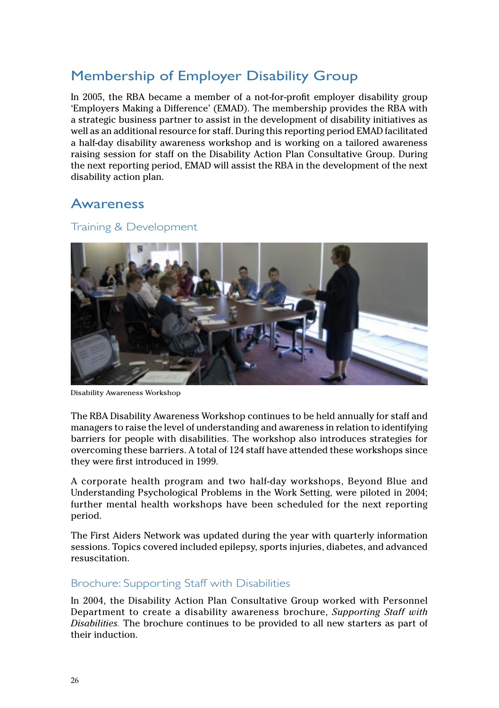### Membership of Employer Disability Group

In 2005, the RBA became a member of a not-for-profit employer disability group 'Employers Making a Difference' (EMAD). The membership provides the RBA with a strategic business partner to assist in the development of disability initiatives as well as an additional resource for staff. During this reporting period EMAD facilitated a half-day disability awareness workshop and is working on a tailored awareness raising session for staff on the Disability Action Plan Consultative Group. During the next reporting period, EMAD will assist the RBA in the development of the next disability action plan.

#### Awareness

#### Training & Development



Disability Awareness Workshop

The RBA Disability Awareness Workshop continues to be held annually for staff and managers to raise the level of understanding and awareness in relation to identifying barriers for people with disabilities. The workshop also introduces strategies for overcoming these barriers. A total of 124 staff have attended these workshops since they were first introduced in 1999.

A corporate health program and two half-day workshops, Beyond Blue and Understanding Psychological Problems in the Work Setting, were piloted in 2004; further mental health workshops have been scheduled for the next reporting period.

The First Aiders Network was updated during the year with quarterly information sessions. Topics covered included epilepsy, sports injuries, diabetes, and advanced resuscitation.

#### Brochure: Supporting Staff with Disabilities

In 2004, the Disability Action Plan Consultative Group worked with Personnel Department to create a disability awareness brochure, *Supporting Staff with Disabilities.* The brochure continues to be provided to all new starters as part of their induction.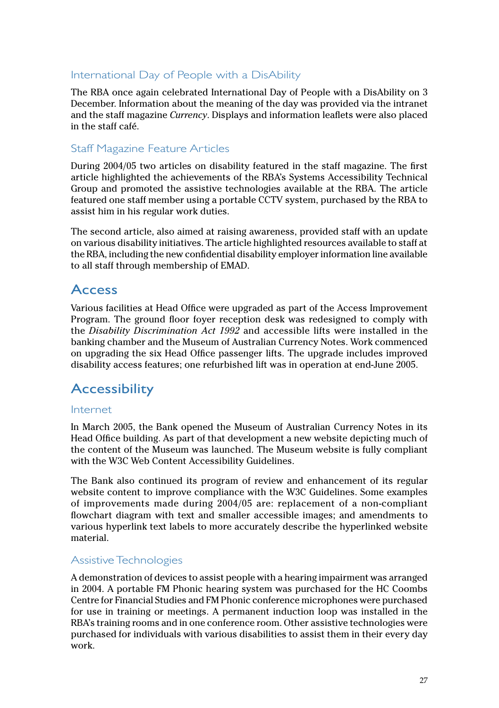#### International Day of People with a DisAbility

The RBA once again celebrated International Day of People with a DisAbility on 3 December. Information about the meaning of the day was provided via the intranet and the staff magazine *Currency*. Displays and information leaflets were also placed in the staff café.

#### Staff Magazine Feature Articles

During 2004/05 two articles on disability featured in the staff magazine. The first article highlighted the achievements of the RBA's Systems Accessibility Technical Group and promoted the assistive technologies available at the RBA. The article featured one staff member using a portable CCTV system, purchased by the RBA to assist him in his regular work duties.

The second article, also aimed at raising awareness, provided staff with an update on various disability initiatives. The article highlighted resources available to staff at the RBA, including the new confidential disability employer information line available to all staff through membership of EMAD.

#### Access

Various facilities at Head Office were upgraded as part of the Access Improvement Program. The ground floor foyer reception desk was redesigned to comply with the *Disability Discrimination Act 1992* and accessible lifts were installed in the banking chamber and the Museum of Australian Currency Notes. Work commenced on upgrading the six Head Office passenger lifts. The upgrade includes improved disability access features; one refurbished lift was in operation at end-June 2005.

#### **Accessibility**

#### Internet

In March 2005, the Bank opened the Museum of Australian Currency Notes in its Head Office building. As part of that development a new website depicting much of the content of the Museum was launched. The Museum website is fully compliant with the W3C Web Content Accessibility Guidelines.

The Bank also continued its program of review and enhancement of its regular website content to improve compliance with the W3C Guidelines. Some examples of improvements made during 2004/05 are: replacement of a non-compliant flowchart diagram with text and smaller accessible images; and amendments to various hyperlink text labels to more accurately describe the hyperlinked website material.

#### Assistive Technologies

A demonstration of devices to assist people with a hearing impairment was arranged in 2004. A portable FM Phonic hearing system was purchased for the HC Coombs Centre for Financial Studies and FM Phonic conference microphones were purchased for use in training or meetings. A permanent induction loop was installed in the RBA's training rooms and in one conference room. Other assistive technologies were purchased for individuals with various disabilities to assist them in their every day work.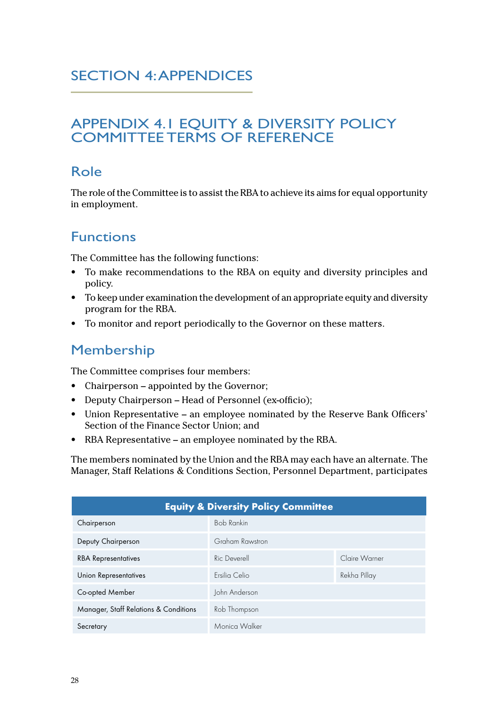#### <span id="page-30-0"></span>SECTION 4: APPENDICES

#### APPENDIX 4.1 EQUITY & DIVERSITY POLICY COMMITTEE TERMS OF REFERENCE

#### Role

The role of the Committee is to assist the RBA to achieve its aims for equal opportunity in employment.

### Functions

The Committee has the following functions:

- To make recommendations to the RBA on equity and diversity principles and policy.
- To keep under examination the development of an appropriate equity and diversity program for the RBA.
- To monitor and report periodically to the Governor on these matters.

#### Membership

The Committee comprises four members:

- Chairperson appointed by the Governor;
- Deputy Chairperson Head of Personnel (ex-officio);
- Union Representative an employee nominated by the Reserve Bank Officers' Section of the Finance Sector Union; and
- RBA Representative an employee nominated by the RBA.

The members nominated by the Union and the RBA may each have an alternate. The Manager, Staff Relations & Conditions Section, Personnel Department, participates

| <b>Equity &amp; Diversity Policy Committee</b> |                   |               |  |
|------------------------------------------------|-------------------|---------------|--|
| Chairperson                                    | <b>Bob Rankin</b> |               |  |
| Deputy Chairperson                             | Graham Rawstron   |               |  |
| <b>RBA Representatives</b>                     | Ric Deverell      | Claire Warner |  |
| Union Representatives                          | Frsilia Celio     | Rekha Pillay  |  |
| Co-opted Member                                | John Anderson     |               |  |
| Manager, Staff Relations & Conditions          | Rob Thompson      |               |  |
| Secretary                                      | Monica Walker     |               |  |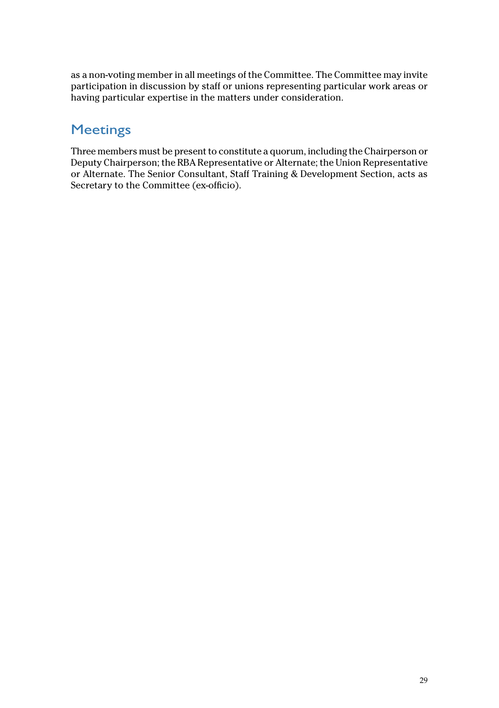as a non-voting member in all meetings of the Committee. The Committee may invite participation in discussion by staff or unions representing particular work areas or having particular expertise in the matters under consideration.

#### Meetings

Three members must be present to constitute a quorum, including the Chairperson or Deputy Chairperson; the RBA Representative or Alternate; the Union Representative or Alternate. The Senior Consultant, Staff Training & Development Section, acts as Secretary to the Committee (ex-officio).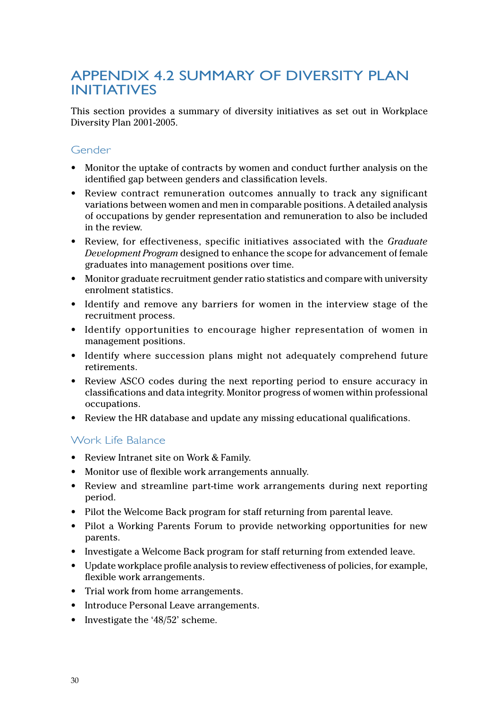#### <span id="page-32-0"></span>APPENDIX 4.2 SUMMARY OF DIVERSITY PLAN INITIATIVES

This section provides a summary of diversity initiatives as set out in Workplace Diversity Plan 2001-2005.

#### Gender

- Monitor the uptake of contracts by women and conduct further analysis on the identified gap between genders and classification levels.
- Review contract remuneration outcomes annually to track any significant variations between women and men in comparable positions. A detailed analysis of occupations by gender representation and remuneration to also be included in the review.
- Review, for effectiveness, specific initiatives associated with the *Graduate Development Program* designed to enhance the scope for advancement of female graduates into management positions over time.
- Monitor graduate recruitment gender ratio statistics and compare with university enrolment statistics.
- Identify and remove any barriers for women in the interview stage of the recruitment process.
- Identify opportunities to encourage higher representation of women in management positions.
- Identify where succession plans might not adequately comprehend future retirements.
- Review ASCO codes during the next reporting period to ensure accuracy in classifications and data integrity. Monitor progress of women within professional occupations.
- Review the HR database and update any missing educational qualifications.

#### Work Life Balance

- Review Intranet site on Work & Family.
- Monitor use of flexible work arrangements annually.
- Review and streamline part-time work arrangements during next reporting period.
- Pilot the Welcome Back program for staff returning from parental leave.
- Pilot a Working Parents Forum to provide networking opportunities for new parents.
- Investigate a Welcome Back program for staff returning from extended leave.
- Update workplace profile analysis to review effectiveness of policies, for example, flexible work arrangements.
- Trial work from home arrangements.
- Introduce Personal Leave arrangements.
- Investigate the '48/52' scheme.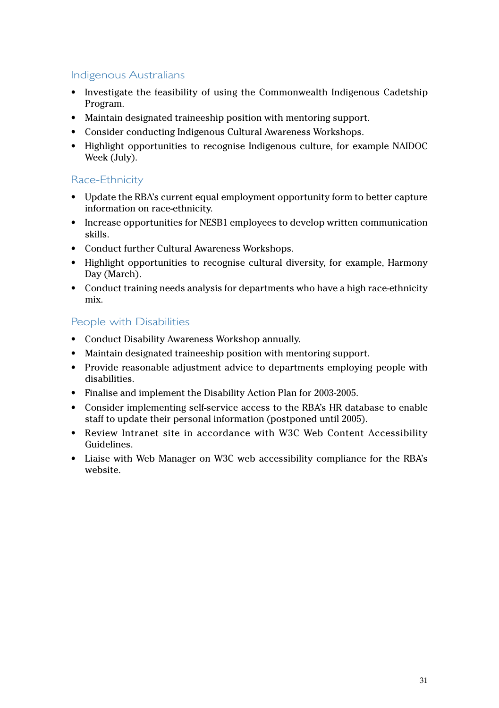#### Indigenous Australians

- Investigate the feasibility of using the Commonwealth Indigenous Cadetship Program.
- Maintain designated traineeship position with mentoring support.
- Consider conducting Indigenous Cultural Awareness Workshops.
- Highlight opportunities to recognise Indigenous culture, for example NAIDOC Week (July).

#### Race-Ethnicity

- Update the RBA's current equal employment opportunity form to better capture information on race-ethnicity.
- Increase opportunities for NESB1 employees to develop written communication skills.
- Conduct further Cultural Awareness Workshops.
- Highlight opportunities to recognise cultural diversity, for example, Harmony Day (March).
- Conduct training needs analysis for departments who have a high race-ethnicity mix.

#### People with Disabilities

- Conduct Disability Awareness Workshop annually.
- Maintain designated traineeship position with mentoring support.
- Provide reasonable adjustment advice to departments employing people with disabilities.
- Finalise and implement the Disability Action Plan for 2003-2005.
- Consider implementing self-service access to the RBA's HR database to enable staff to update their personal information (postponed until 2005).
- Review Intranet site in accordance with W3C Web Content Accessibility Guidelines.
- Liaise with Web Manager on W3C web accessibility compliance for the RBA's website.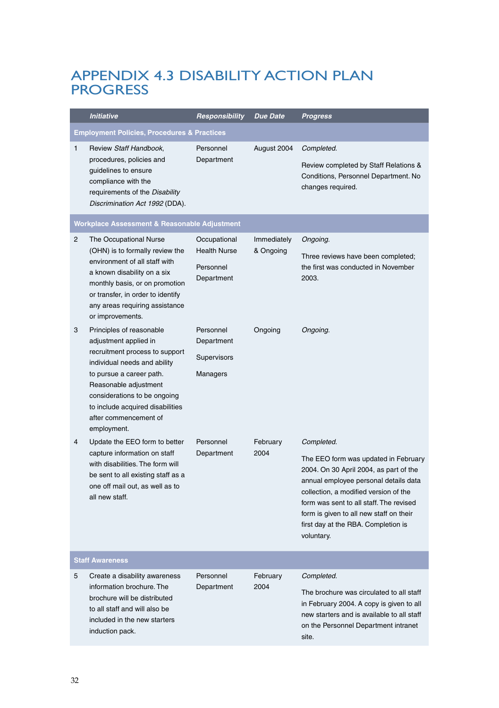#### <span id="page-34-0"></span>APPENDIX 4.3 DISABILITY ACTION PLAN **PROGRESS**

|              | Initiative                                                                                                                                                                                                                                                                           | Responsibility                                                 | Due Date                 | <b>Progress</b>                                                                                                                                                                                                                                                                                                           |
|--------------|--------------------------------------------------------------------------------------------------------------------------------------------------------------------------------------------------------------------------------------------------------------------------------------|----------------------------------------------------------------|--------------------------|---------------------------------------------------------------------------------------------------------------------------------------------------------------------------------------------------------------------------------------------------------------------------------------------------------------------------|
|              | <b>Employment Policies, Procedures &amp; Practices</b>                                                                                                                                                                                                                               |                                                                |                          |                                                                                                                                                                                                                                                                                                                           |
| $\mathbf{1}$ | Review Staff Handbook,<br>procedures, policies and<br>guidelines to ensure<br>compliance with the<br>requirements of the Disability<br>Discrimination Act 1992 (DDA).                                                                                                                | Personnel<br>Department                                        | August 2004              | Completed.<br>Review completed by Staff Relations &<br>Conditions, Personnel Department. No<br>changes required.                                                                                                                                                                                                          |
|              | Workplace Assessment & Reasonable Adjustment                                                                                                                                                                                                                                         |                                                                |                          |                                                                                                                                                                                                                                                                                                                           |
| 2            | The Occupational Nurse<br>(OHN) is to formally review the<br>environment of all staff with<br>a known disability on a six<br>monthly basis, or on promotion<br>or transfer, in order to identify<br>any areas requiring assistance<br>or improvements.                               | Occupational<br><b>Health Nurse</b><br>Personnel<br>Department | Immediately<br>& Ongoing | Ongoing.<br>Three reviews have been completed;<br>the first was conducted in November<br>2003.                                                                                                                                                                                                                            |
| 3            | Principles of reasonable<br>adjustment applied in<br>recruitment process to support<br>individual needs and ability<br>to pursue a career path.<br>Reasonable adjustment<br>considerations to be ongoing<br>to include acquired disabilities<br>after commencement of<br>employment. | Personnel<br>Department<br><b>Supervisors</b><br>Managers      | Ongoing                  | Ongoing.                                                                                                                                                                                                                                                                                                                  |
| 4            | Update the EEO form to better<br>capture information on staff<br>with disabilities. The form will<br>be sent to all existing staff as a<br>one off mail out, as well as to<br>all new staff.                                                                                         | Personnel<br>Department                                        | February<br>2004         | Completed.<br>The EEO form was updated in February<br>2004. On 30 April 2004, as part of the<br>annual employee personal details data<br>collection, a modified version of the<br>form was sent to all staff. The revised<br>form is given to all new staff on their<br>first day at the RBA. Completion is<br>voluntary. |
|              | <b>Staff Awareness</b>                                                                                                                                                                                                                                                               |                                                                |                          |                                                                                                                                                                                                                                                                                                                           |
| 5            | Create a disability awareness<br>information brochure. The<br>brochure will be distributed<br>to all staff and will also be<br>included in the new starters<br>induction pack.                                                                                                       | Personnel<br>Department                                        | February<br>2004         | Completed.<br>The brochure was circulated to all staff<br>in February 2004. A copy is given to all<br>new starters and is available to all staff<br>on the Personnel Department intranet<br>site.                                                                                                                         |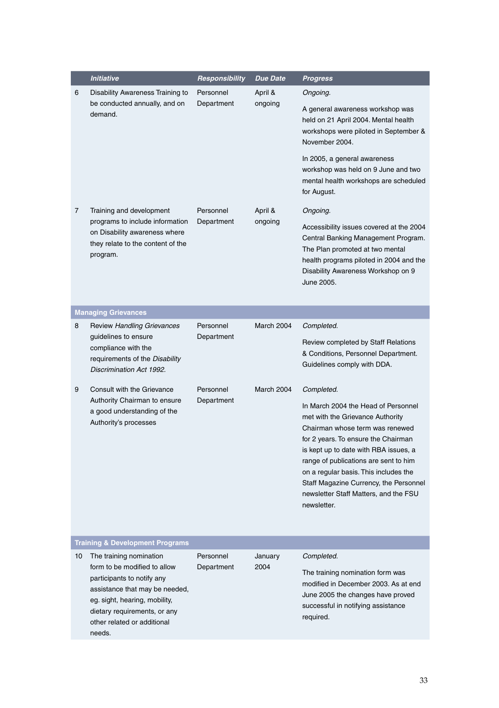|    | <b>Initiative</b>                                                                                                                                                                                                                 | Responsibility          | Due Date           | Progress                                                                                                                                                                                                                                                                                                                                                                       |
|----|-----------------------------------------------------------------------------------------------------------------------------------------------------------------------------------------------------------------------------------|-------------------------|--------------------|--------------------------------------------------------------------------------------------------------------------------------------------------------------------------------------------------------------------------------------------------------------------------------------------------------------------------------------------------------------------------------|
| 6  | Disability Awareness Training to<br>be conducted annually, and on<br>demand.                                                                                                                                                      | Personnel<br>Department | April &<br>ongoing | Ongoing.                                                                                                                                                                                                                                                                                                                                                                       |
|    |                                                                                                                                                                                                                                   |                         |                    | A general awareness workshop was<br>held on 21 April 2004. Mental health<br>workshops were piloted in September &<br>November 2004.                                                                                                                                                                                                                                            |
|    |                                                                                                                                                                                                                                   |                         |                    | In 2005, a general awareness<br>workshop was held on 9 June and two<br>mental health workshops are scheduled<br>for August.                                                                                                                                                                                                                                                    |
| 7  | Training and development                                                                                                                                                                                                          | Personnel               | April &            | Ongoing.                                                                                                                                                                                                                                                                                                                                                                       |
|    | programs to include information<br>on Disability awareness where<br>they relate to the content of the<br>program.                                                                                                                 | Department              | ongoing            | Accessibility issues covered at the 2004<br>Central Banking Management Program.<br>The Plan promoted at two mental<br>health programs piloted in 2004 and the<br>Disability Awareness Workshop on 9<br>June 2005.                                                                                                                                                              |
|    | <b>Managing Grievances</b>                                                                                                                                                                                                        |                         |                    |                                                                                                                                                                                                                                                                                                                                                                                |
| 8  | <b>Review Handling Grievances</b>                                                                                                                                                                                                 | Personnel               | March 2004         | Completed.                                                                                                                                                                                                                                                                                                                                                                     |
|    | guidelines to ensure<br>compliance with the<br>requirements of the Disability<br>Discrimination Act 1992.                                                                                                                         | Department              |                    | Review completed by Staff Relations<br>& Conditions, Personnel Department.<br>Guidelines comply with DDA.                                                                                                                                                                                                                                                                      |
| 9  | Consult with the Grievance                                                                                                                                                                                                        | Personnel               | March 2004         | Completed.                                                                                                                                                                                                                                                                                                                                                                     |
|    | Authority Chairman to ensure<br>a good understanding of the<br>Authority's processes                                                                                                                                              | Department              |                    | In March 2004 the Head of Personnel<br>met with the Grievance Authority<br>Chairman whose term was renewed<br>for 2 years. To ensure the Chairman<br>is kept up to date with RBA issues, a<br>range of publications are sent to him<br>on a regular basis. This includes the<br>Staff Magazine Currency, the Personnel<br>newsletter Staff Matters, and the FSU<br>newsletter. |
|    | <b>Training &amp; Development Programs</b>                                                                                                                                                                                        |                         |                    |                                                                                                                                                                                                                                                                                                                                                                                |
| 10 | The training nomination<br>form to be modified to allow<br>participants to notify any<br>assistance that may be needed,<br>eg. sight, hearing, mobility,<br>dietary requirements, or any<br>other related or additional<br>needs. | Personnel<br>Department | January<br>2004    | Completed.<br>The training nomination form was<br>modified in December 2003. As at end<br>June 2005 the changes have proved<br>successful in notifying assistance<br>required.                                                                                                                                                                                                 |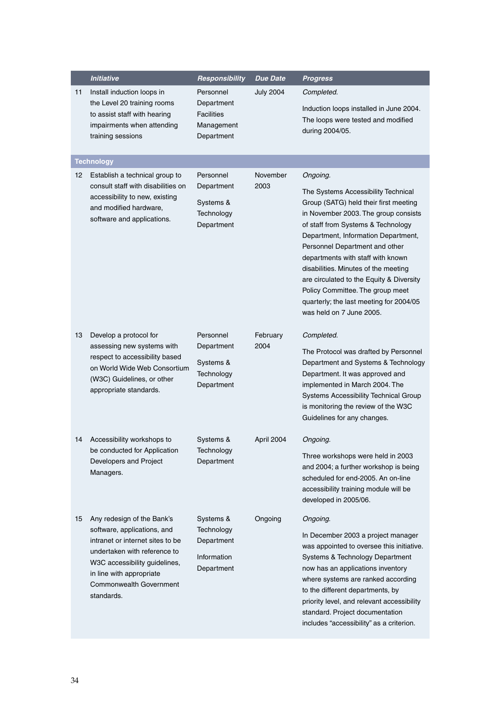|    | <b>Initiative</b>                                                                                                                                                                                                                          | Responsibility                                                           | Due Date         | <b>Progress</b>                                                                                                                                                                                                                                                                                                                                                                                                                                                                     |
|----|--------------------------------------------------------------------------------------------------------------------------------------------------------------------------------------------------------------------------------------------|--------------------------------------------------------------------------|------------------|-------------------------------------------------------------------------------------------------------------------------------------------------------------------------------------------------------------------------------------------------------------------------------------------------------------------------------------------------------------------------------------------------------------------------------------------------------------------------------------|
| 11 | Install induction loops in<br>the Level 20 training rooms<br>to assist staff with hearing<br>impairments when attending<br>training sessions                                                                                               | Personnel<br>Department<br><b>Facilities</b><br>Management<br>Department | <b>July 2004</b> | Completed.<br>Induction loops installed in June 2004.<br>The loops were tested and modified<br>during 2004/05.                                                                                                                                                                                                                                                                                                                                                                      |
|    | <b>Technology</b>                                                                                                                                                                                                                          |                                                                          |                  |                                                                                                                                                                                                                                                                                                                                                                                                                                                                                     |
| 12 | Establish a technical group to<br>consult staff with disabilities on<br>accessibility to new, existing<br>and modified hardware,<br>software and applications.                                                                             | Personnel<br>Department<br>Systems &<br>Technology<br>Department         | November<br>2003 | Ongoing.<br>The Systems Accessibility Technical<br>Group (SATG) held their first meeting<br>in November 2003. The group consists<br>of staff from Systems & Technology<br>Department, Information Department,<br>Personnel Department and other<br>departments with staff with known<br>disabilities. Minutes of the meeting<br>are circulated to the Equity & Diversity<br>Policy Committee. The group meet<br>quarterly; the last meeting for 2004/05<br>was held on 7 June 2005. |
| 13 | Develop a protocol for<br>assessing new systems with<br>respect to accessibility based<br>on World Wide Web Consortium<br>(W3C) Guidelines, or other<br>appropriate standards.                                                             | Personnel<br>Department<br>Systems &<br>Technology<br>Department         | February<br>2004 | Completed.<br>The Protocol was drafted by Personnel<br>Department and Systems & Technology<br>Department. It was approved and<br>implemented in March 2004. The<br>Systems Accessibility Technical Group<br>is monitoring the review of the W3C<br>Guidelines for any changes.                                                                                                                                                                                                      |
| 14 | Accessibility workshops to<br>be conducted for Application<br>Developers and Project<br>Managers.                                                                                                                                          | Systems &<br>Technology<br>Department                                    | April 2004       | Ongoing.<br>Three workshops were held in 2003<br>and 2004; a further workshop is being<br>scheduled for end-2005. An on-line<br>accessibility training module will be<br>developed in 2005/06.                                                                                                                                                                                                                                                                                      |
| 15 | Any redesign of the Bank's<br>software, applications, and<br>intranet or internet sites to be<br>undertaken with reference to<br>W3C accessibility guidelines,<br>in line with appropriate<br><b>Commonwealth Government</b><br>standards. | Systems &<br>Technology<br>Department<br>Information<br>Department       | Ongoing          | Ongoing.<br>In December 2003 a project manager<br>was appointed to oversee this initiative.<br>Systems & Technology Department<br>now has an applications inventory<br>where systems are ranked according<br>to the different departments, by<br>priority level, and relevant accessibility<br>standard. Project documentation<br>includes "accessibility" as a criterion.                                                                                                          |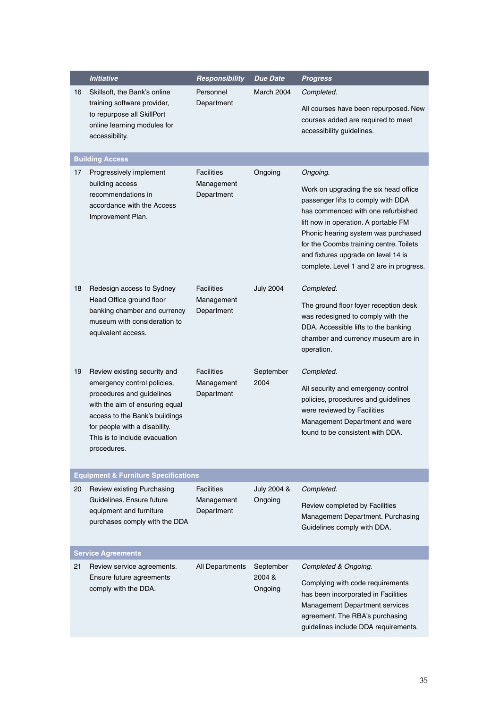|    | <b>Initiative</b>                                                                                                                                                                                                                             | Responsibility                                | Due Date                       | Progress                                                                                                                                                                                                                                                                                                                                   |
|----|-----------------------------------------------------------------------------------------------------------------------------------------------------------------------------------------------------------------------------------------------|-----------------------------------------------|--------------------------------|--------------------------------------------------------------------------------------------------------------------------------------------------------------------------------------------------------------------------------------------------------------------------------------------------------------------------------------------|
| 16 | Skillsoft, the Bank's online<br>training software provider,<br>to repurpose all SkillPort<br>online learning modules for<br>accessibility.                                                                                                    | Personnel<br>Department                       | March 2004                     | Completed.<br>All courses have been repurposed. New<br>courses added are required to meet<br>accessibility guidelines.                                                                                                                                                                                                                     |
|    | <b>Building Access</b>                                                                                                                                                                                                                        |                                               |                                |                                                                                                                                                                                                                                                                                                                                            |
| 17 | Progressively implement<br>building access<br>recommendations in<br>accordance with the Access<br>Improvement Plan.                                                                                                                           | <b>Facilities</b><br>Management<br>Department | Ongoing                        | Ongoing.<br>Work on upgrading the six head office<br>passenger lifts to comply with DDA<br>has commenced with one refurbished<br>lift now in operation. A portable FM<br>Phonic hearing system was purchased<br>for the Coombs training centre. Toilets<br>and fixtures upgrade on level 14 is<br>complete. Level 1 and 2 are in progress. |
| 18 | Redesign access to Sydney<br>Head Office ground floor<br>banking chamber and currency<br>museum with consideration to<br>equivalent access.                                                                                                   | <b>Facilities</b><br>Management<br>Department | <b>July 2004</b>               | Completed.<br>The ground floor foyer reception desk<br>was redesigned to comply with the<br>DDA. Accessible lifts to the banking<br>chamber and currency museum are in<br>operation.                                                                                                                                                       |
| 19 | Review existing security and<br>emergency control policies,<br>procedures and guidelines<br>with the aim of ensuring equal<br>access to the Bank's buildings<br>for people with a disability.<br>This is to include evacuation<br>procedures. | <b>Facilities</b><br>Management<br>Department | September<br>2004              | Completed.<br>All security and emergency control<br>policies, procedures and guidelines<br>were reviewed by Facilities<br>Management Department and were<br>found to be consistent with DDA.                                                                                                                                               |
|    | <b>Equipment &amp; Furniture Specifications</b>                                                                                                                                                                                               |                                               |                                |                                                                                                                                                                                                                                                                                                                                            |
| 20 | Review existing Purchasing<br>Guidelines. Ensure future<br>equipment and furniture<br>purchases comply with the DDA                                                                                                                           | <b>Facilities</b><br>Management<br>Department | July 2004 &<br>Ongoing         | Completed.<br>Review completed by Facilities<br>Management Department. Purchasing<br>Guidelines comply with DDA.                                                                                                                                                                                                                           |
|    | <b>Service Agreements</b>                                                                                                                                                                                                                     |                                               |                                |                                                                                                                                                                                                                                                                                                                                            |
| 21 | Review service agreements.<br>Ensure future agreements<br>comply with the DDA.                                                                                                                                                                | All Departments                               | September<br>2004 &<br>Ongoing | Completed & Ongoing.<br>Complying with code requirements<br>has been incorporated in Facilities<br>Management Department services<br>agreement. The RBA's purchasing<br>guidelines include DDA requirements.                                                                                                                               |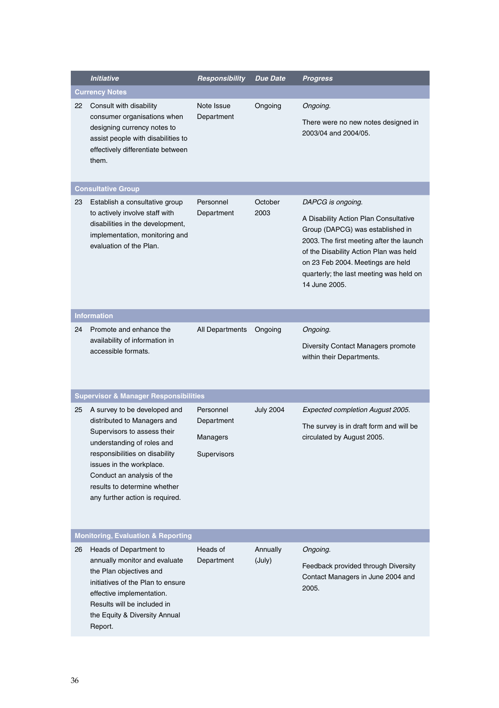|          | <b>Initiative</b>                                                                                                                                                                                                                                                                                                                                                                                                               | Responsibility                                                               | <b>Due Date</b>             | Progress                                                                                                                                                                                                                                                                              |
|----------|---------------------------------------------------------------------------------------------------------------------------------------------------------------------------------------------------------------------------------------------------------------------------------------------------------------------------------------------------------------------------------------------------------------------------------|------------------------------------------------------------------------------|-----------------------------|---------------------------------------------------------------------------------------------------------------------------------------------------------------------------------------------------------------------------------------------------------------------------------------|
|          | <b>Currency Notes</b>                                                                                                                                                                                                                                                                                                                                                                                                           |                                                                              |                             |                                                                                                                                                                                                                                                                                       |
| 22       | Consult with disability<br>consumer organisations when<br>designing currency notes to<br>assist people with disabilities to<br>effectively differentiate between<br>them.                                                                                                                                                                                                                                                       | Note Issue<br>Department                                                     | Ongoing                     | Ongoing.<br>There were no new notes designed in<br>2003/04 and 2004/05.                                                                                                                                                                                                               |
|          | <b>Consultative Group</b>                                                                                                                                                                                                                                                                                                                                                                                                       |                                                                              |                             |                                                                                                                                                                                                                                                                                       |
| 23       | Establish a consultative group<br>to actively involve staff with<br>disabilities in the development,<br>implementation, monitoring and<br>evaluation of the Plan.                                                                                                                                                                                                                                                               | Personnel<br>Department                                                      | October<br>2003             | DAPCG is ongoing.<br>A Disability Action Plan Consultative<br>Group (DAPCG) was established in<br>2003. The first meeting after the launch<br>of the Disability Action Plan was held<br>on 23 Feb 2004. Meetings are held<br>quarterly; the last meeting was held on<br>14 June 2005. |
|          | <b>Information</b>                                                                                                                                                                                                                                                                                                                                                                                                              |                                                                              |                             |                                                                                                                                                                                                                                                                                       |
| 24<br>25 | Promote and enhance the<br>availability of information in<br>accessible formats.<br><b>Supervisor &amp; Manager Responsibilities</b><br>A survey to be developed and<br>distributed to Managers and<br>Supervisors to assess their<br>understanding of roles and<br>responsibilities on disability<br>issues in the workplace.<br>Conduct an analysis of the<br>results to determine whether<br>any further action is required. | <b>All Departments</b><br>Personnel<br>Department<br>Managers<br>Supervisors | Ongoing<br><b>July 2004</b> | Ongoing.<br>Diversity Contact Managers promote<br>within their Departments.<br>Expected completion August 2005.<br>The survey is in draft form and will be<br>circulated by August 2005.                                                                                              |
|          | <b>Monitoring, Evaluation &amp; Reporting</b>                                                                                                                                                                                                                                                                                                                                                                                   |                                                                              |                             |                                                                                                                                                                                                                                                                                       |
| 26       | Heads of Department to<br>annually monitor and evaluate<br>the Plan objectives and<br>initiatives of the Plan to ensure<br>effective implementation.<br>Results will be included in<br>the Equity & Diversity Annual<br>Report.                                                                                                                                                                                                 | Heads of<br>Department                                                       | Annually<br>(July)          | Ongoing.<br>Feedback provided through Diversity<br>Contact Managers in June 2004 and<br>2005.                                                                                                                                                                                         |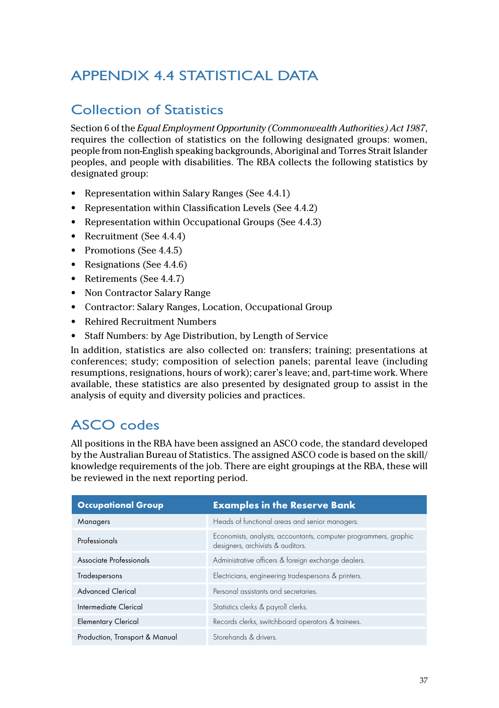## <span id="page-39-0"></span>APPENDIX 4.4 STATISTICAL DATA

#### Collection of Statistics

Section 6 of the *Equal Employment Opportunity (Commonwealth Authorities) Act 1987*, requires the collection of statistics on the following designated groups: women, people from non-English speaking backgrounds, Aboriginal and Torres Strait Islander peoples, and people with disabilities. The RBA collects the following statistics by designated group:

- Representation within Salary Ranges (See 4.4.1)
- Representation within Classification Levels (See 4.4.2)
- Representation within Occupational Groups (See 4.4.3)
- Recruitment (See 4.4.4)
- Promotions (See 4.4.5)
- Resignations (See 4.4.6)
- Retirements (See 4.4.7)
- Non Contractor Salary Range
- Contractor: Salary Ranges, Location, Occupational Group
- Rehired Recruitment Numbers
- Staff Numbers: by Age Distribution, by Length of Service

In addition, statistics are also collected on: transfers; training; presentations at conferences; study; composition of selection panels; parental leave (including resumptions, resignations, hours of work); carer's leave; and, part-time work. Where available, these statistics are also presented by designated group to assist in the analysis of equity and diversity policies and practices.

#### ASCO codes

All positions in the RBA have been assigned an ASCO code, the standard developed by the Australian Bureau of Statistics. The assigned ASCO code is based on the skill/ knowledge requirements of the job. There are eight groupings at the RBA, these will be reviewed in the next reporting period.

| <b>Occupational Group</b>      | <b>Examples in the Reserve Bank</b>                                                                   |
|--------------------------------|-------------------------------------------------------------------------------------------------------|
| Managers                       | Heads of functional areas and senior managers.                                                        |
| Professionals                  | Economists, analysts, accountants, computer programmers, graphic<br>designers, archivists & auditors. |
| Associate Professionals        | Administrative officers & foreign exchange dealers.                                                   |
| Tradespersons                  | Electricians, engineering tradespersons & printers.                                                   |
| <b>Advanced Clerical</b>       | Personal assistants and secretaries.                                                                  |
| Intermediate Clerical          | Statistics clerks & payroll clerks.                                                                   |
| <b>Elementary Clerical</b>     | Records clerks, switchboard operators & trainees.                                                     |
| Production, Transport & Manual | Storehands & drivers.                                                                                 |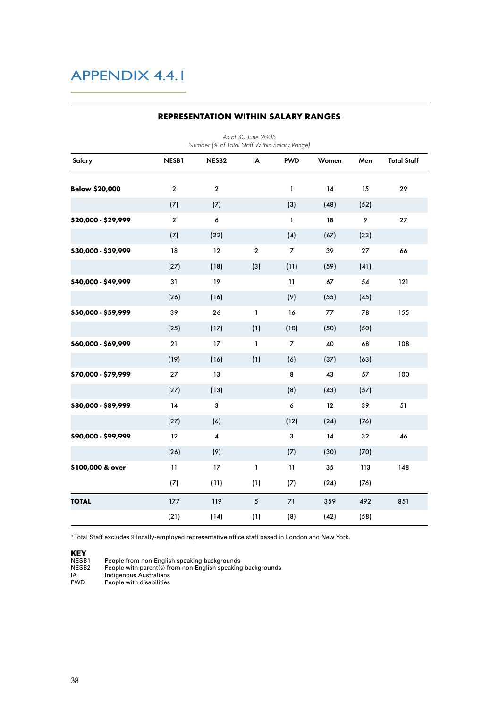| As at 30 June 2005<br>Number (% of Total Staff Within Salary Range) |                |                         |                 |                |       |      |                    |  |  |
|---------------------------------------------------------------------|----------------|-------------------------|-----------------|----------------|-------|------|--------------------|--|--|
| Salary                                                              | NESB1          | NESB <sub>2</sub>       | IA              | <b>PWD</b>     | Women | Men  | <b>Total Staff</b> |  |  |
| <b>Below \$20,000</b>                                               | $\overline{2}$ | $\overline{2}$          |                 | $\mathbf{1}$   | 14    | 15   | 29                 |  |  |
|                                                                     | (7)            | (7)                     |                 | (3)            | (48)  | (52) |                    |  |  |
| \$20,000 - \$29,999                                                 | $\overline{2}$ | $\epsilon$              |                 | $\mathbf{1}$   | 18    | 9    | 27                 |  |  |
|                                                                     | (7)            | (22)                    |                 | (4)            | (67)  | (33) |                    |  |  |
| \$30,000 - \$39,999                                                 | 18             | 12                      | $\overline{2}$  | $\overline{7}$ | 39    | 27   | 66                 |  |  |
|                                                                     | (27)           | (18)                    | (3)             | (11)           | (59)  | (41) |                    |  |  |
| \$40,000 - \$49,999                                                 | 31             | 19                      |                 | 11             | 67    | 54   | 121                |  |  |
|                                                                     | (26)           | (16)                    |                 | (9)            | (55)  | (45) |                    |  |  |
| \$50,000 - \$59,999                                                 | 39             | 26                      | $\mathbf{1}$    | 16             | 77    | 78   | 155                |  |  |
|                                                                     | (25)           | (17)                    | (1)             | (10)           | (50)  | (50) |                    |  |  |
| \$60,000 - \$69,999                                                 | 21             | 17                      | $\mathbf{1}$    | 7              | 40    | 68   | 108                |  |  |
|                                                                     | (19)           | (16)                    | (1)             | (6)            | (37)  | (63) |                    |  |  |
| \$70,000 - \$79,999                                                 | 27             | 13                      |                 | 8              | 43    | 57   | 100                |  |  |
|                                                                     | (27)           | (13)                    |                 | (8)            | (43)  | (57) |                    |  |  |
| \$80,000 - \$89,999                                                 | 14             | 3                       |                 | 6              | 12    | 39   | 51                 |  |  |
|                                                                     | (27)           | (6)                     |                 | (12)           | (24)  | (76) |                    |  |  |
| \$90,000 - \$99,999                                                 | 12             | $\overline{\mathbf{4}}$ |                 | 3              | 14    | 32   | 46                 |  |  |
|                                                                     | (26)           | (9)                     |                 | (7)            | (30)  | (70) |                    |  |  |
| \$100,000 & over                                                    | 11             | 17                      | $\mathbf{1}$    | 11             | 35    | 113  | 148                |  |  |
|                                                                     | (7)            | (11)                    | (1)             | (7)            | (24)  | (76) |                    |  |  |
| <b>TOTAL</b>                                                        | 177            | 119                     | $5\overline{5}$ | 71             | 359   | 492  | 851                |  |  |
|                                                                     | (21)           | (14)                    | (1)             | (8)            | (42)  | (58) |                    |  |  |

#### **REPRESENTATION WITHIN SALARY RANGES**

\*Total Staff excludes 9 locally-employed representative office staff based in London and New York.

**KEY**<br>NESB1

NESB1 People from non-English speaking backgrounds NESB2 People with parent(s) from non-English speaking backgrounds

IA Indigenous Australians PWD People with disabilities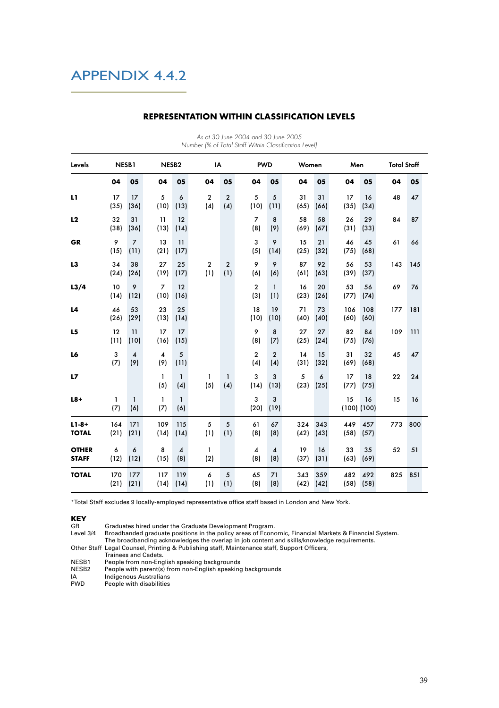| Levels                       | NESB1       |                         | NESB <sub>2</sub>       |                                | IA                    |                       | <b>PWD</b>                     |                                | Women       |             | Men                   |             | <b>Total Staff</b> |     |
|------------------------------|-------------|-------------------------|-------------------------|--------------------------------|-----------------------|-----------------------|--------------------------------|--------------------------------|-------------|-------------|-----------------------|-------------|--------------------|-----|
|                              | 04          | 05                      | 04                      | 05                             | 04                    | 05                    | 04                             | 05                             | 04          | 05          | 04                    | 05          | 04                 | 05  |
| L1                           | 17<br>(35)  | 17<br>(36)              | 5<br>(10)               | 6<br>(13)                      | $\overline{2}$<br>(4) | $\overline{2}$<br>(4) | 5<br>(10)                      | 5<br>(11)                      | 31<br>(65)  | 31<br>(66)  | 17<br>(35)            | 16<br>(34)  | 48                 | 47  |
| L2                           | 32<br>(38)  | 31<br>(36)              | 11<br>(13)              | 12<br>(14)                     |                       |                       | $\overline{7}$<br>(8)          | 8<br>(9)                       | 58<br>(69)  | 58<br>(67)  | 26<br>(31)            | 29<br>(33)  | 84                 | 87  |
| <b>GR</b>                    | 9<br>(15)   | $\overline{7}$<br>(11)  | 13<br>(21)              | 11<br>(17)                     |                       |                       | 3<br>(5)                       | 9<br>(14)                      | 15<br>(25)  | 21<br>(32)  | 46<br>(75)            | 45<br>(68)  | 61                 | 66  |
| L3                           | 34<br>(24)  | 38<br>(26)              | 27<br>(19)              | 25<br>(17)                     | $\overline{2}$<br>(1) | $\overline{2}$<br>(1) | 9<br>(6)                       | 9<br>(6)                       | 87<br>(61)  | 92<br>(63)  | 56<br>(39)            | 53<br>(37)  | 143                | 145 |
| L3/4                         | 10<br>(14)  | 9<br>(12)               | $\overline{7}$<br>(10)  | 12<br>(16)                     |                       |                       | $\overline{\mathbf{c}}$<br>(3) | $\mathbf{1}$<br>(1)            | 16<br>(23)  | 20<br>(26)  | 53<br>(77)            | 56<br>(74)  | 69                 | 76  |
| L4                           | 46<br>(26)  | 53<br>(29)              | 23<br>(13)              | 25<br>(14)                     |                       |                       | 18<br>(10)                     | 19<br>(10)                     | 71<br>(40)  | 73<br>(40)  | 106<br>(60)           | 108<br>(60) | 177                | 181 |
| L5                           | 12<br>(11)  | 11<br>(10)              | 17<br>(16)              | 17<br>(15)                     |                       |                       | 9<br>(8)                       | 8<br>(7)                       | 27<br>(25)  | 27<br>(24)  | 82<br>(75)            | 84<br>(76)  | 109                | 111 |
| L6                           | 3<br>(7)    | $\boldsymbol{A}$<br>(9) | $\boldsymbol{4}$<br>(9) | 5<br>(11)                      |                       |                       | $\overline{2}$<br>(4)          | $\overline{2}$<br>(4)          | 14<br>(31)  | 15<br>(32)  | 31<br>(69)            | 32<br>(68)  | 45                 | 47  |
| L7                           |             |                         | $\mathbf{1}$<br>(5)     | $\mathbf{1}$<br>(4)            | 1<br>(5)              | $\mathbf{1}$<br>(4)   | 3<br>(14)                      | 3<br>(13)                      | 5<br>(23)   | 6<br>(25)   | 17<br>(77)            | 18<br>(75)  | 22                 | 24  |
| $L8+$                        | 1<br>(7)    | $\mathbf{1}$<br>(6)     | $\mathbf{1}$<br>(7)     | $\mathbf{1}$<br>(6)            |                       |                       | 3<br>(20)                      | 3<br>(19)                      |             |             | 15<br>$(100)$ $(100)$ | 16          | 15                 | 16  |
| $L1 - 8 +$<br><b>TOTAL</b>   | 164<br>(21) | 171<br>(21)             | 109<br>(14)             | 115<br>(14)                    | 5<br>(1)              | 5<br>(1)              | 61<br>(8)                      | 67<br>(8)                      | 324<br>(42) | 343<br>(43) | 449<br>(58)           | 457<br>(57) | 773                | 800 |
| <b>OTHER</b><br><b>STAFF</b> | 6<br>(12)   | 6<br>(12)               | 8<br>(15)               | $\overline{\mathbf{4}}$<br>(8) | $\mathbf{1}$<br>(2)   |                       | $\overline{\mathbf{4}}$<br>(8) | $\overline{\mathbf{4}}$<br>(8) | 19<br>(37)  | 16<br>(31)  | 33<br>(63)            | 35<br>(69)  | 52                 | 51  |
| <b>TOTAL</b>                 | 170<br>(21) | 177<br>(21)             | 117<br>(14)             | 119<br>(14)                    | 6<br>(1)              | 5<br>(1)              | 65<br>(8)                      | 71<br>(8)                      | 343<br>(42) | 359<br>(42) | 482<br>(58)           | 492<br>(58) | 825                | 851 |

#### **REPRESENTATION WITHIN CLASSIFICATION LEVELS**

As at 30 June 2004 and 30 June 2005 Number (% of Total Staff Within Classification Level)

\*Total Staff excludes 9 locally-employed representative office staff based in London and New York.

**KEY**<br>GR GR Graduates hired under the Graduate Development Program.<br>Level 3/4 Broadbanded graduate positions in the policy areas of Econo

Broadbanded graduate positions in the policy areas of Economic, Financial Markets & Financial System. The broadbanding acknowledges the overlap in job content and skills/knowledge requirements.

Other Staff Legal Counsel, Printing & Publishing staff, Maintenance staff, Support Officers,

Trainees and Cadets. NESB1 People from non-English speaking backgrounds

NESB2 People with parent(s) from non-English speaking backgrounds<br>
A Indigenous Australians

IA Indigenous Australians<br>PWD People with disabilities

People with disabilities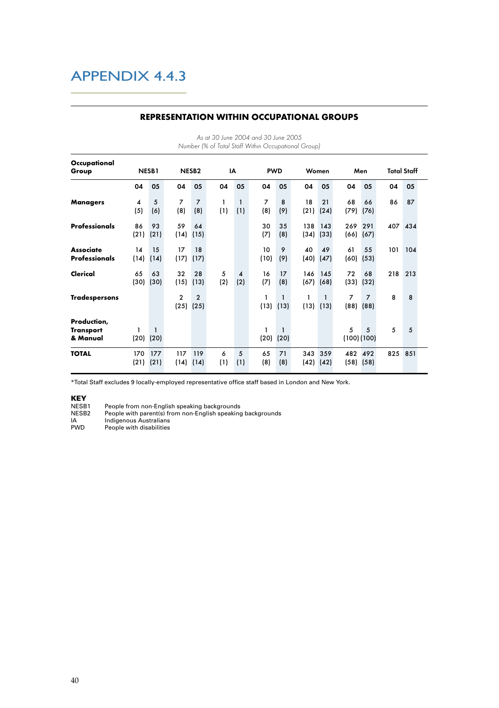| Occupational                                |             |                      |                        |                        |          |                               |                       |                               |             |                               |                 |                                 |                    |     |
|---------------------------------------------|-------------|----------------------|------------------------|------------------------|----------|-------------------------------|-----------------------|-------------------------------|-------------|-------------------------------|-----------------|---------------------------------|--------------------|-----|
| Group                                       |             | NESB1                |                        | NESB <sub>2</sub>      |          | IA                            | <b>PWD</b>            |                               | Women       |                               | Men             |                                 | <b>Total Staff</b> |     |
|                                             | 04          | 05                   | 04                     | 05                     | 04       | 05                            | 04                    | 05                            | 04          | 05                            | 04              | 05                              | 04                 | 05  |
| <b>Managers</b>                             | 4<br>(5)    | 5<br>(6)             | 7<br>(8)               | $\overline{7}$<br>(8)  | 1<br>(1) | $\mathbf{1}$<br>(1)           | $\overline{7}$<br>(8) | 8<br>(9)                      | 18<br>(21)  | 21<br>(24)                    | 68<br>(79)      | 66<br>(76)                      | 86                 | 87  |
| <b>Professionals</b>                        | 86<br>(21)  | 93<br>(21)           | 59<br>(14)             | 64<br>(15)             |          |                               | 30<br>(7)             | 35<br>(8)                     | 138<br>(34) | 143<br>(33)                   | 269             | 291<br>$(66)$ $(67)$            | 407                | 434 |
| <b>Associate</b><br><b>Professionals</b>    | 14<br>(14)  | 15<br>(14)           | 17<br>(17)             | 18<br>(17)             |          |                               | 10<br>(10)            | 9<br>(9)                      | 40<br>(40)  | 49<br>(47)                    | 61<br>(60)      | 55<br>(53)                      | 101                | 104 |
| Clerical                                    | 65<br>(30)  | 63<br>(30)           | 32<br>(15)             | 28<br>(13)             | 5<br>(2) | $\boldsymbol{\Lambda}$<br>(2) | 16<br>(7)             | 17<br>(8)                     | 146<br>(67) | 145<br>(68)                   | 72<br>(33)      | 68<br>(32)                      | 218                | 213 |
| <b>Tradespersons</b>                        |             |                      | $\overline{c}$<br>(25) | $\overline{2}$<br>(25) |          |                               | 1<br>(13)             | $\mathbf{1}$<br>(13)          | 1           | $\mathbf{1}$<br>$(13)$ $(13)$ | $\overline{7}$  | $\overline{7}$<br>$(88)$ $(88)$ | 8                  | 8   |
| Production,<br><b>Transport</b><br>& Manual | 1<br>(20)   | $\mathbf{1}$<br>(20) |                        |                        |          |                               | 1                     | $\mathbf{1}$<br>$(20)$ $(20)$ |             |                               | 5<br>(100)(100) | 5                               | 5                  | 5   |
| <b>TOTAL</b>                                | 170<br>(21) | 177<br>(21)          | 117<br>(14)            | 119<br>(14)            | 6<br>(1) | 5<br>(1)                      | 65<br>(8)             | 71<br>(8)                     | 343         | 359<br>$(42)$ $(42)$          | 482             | 492<br>$(58)$ $(58)$            | 825                | 851 |

#### **REPRESENTATION WITHIN OCCUPATIONAL GROUPS**

As at 30 June 2004 and 30 June 2005

\*Total Staff excludes 9 locally-employed representative office staff based in London and New York.

**KEY**<br>NESB1

NESB1 People from non-English speaking backgrounds NESB2 People with parent(s) from non-English speaking backgrounds IA Indigenous Australians PWD People with disabilities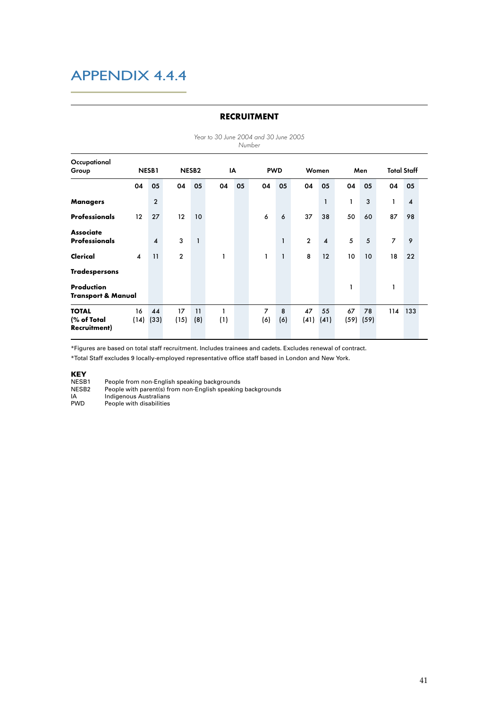|                                             |                   |                  |                   |              | OU JUIN LUUT UNU |    | Number                | OU JUIN LUUU |                |                  |    |                     |                    |                         |
|---------------------------------------------|-------------------|------------------|-------------------|--------------|------------------|----|-----------------------|--------------|----------------|------------------|----|---------------------|--------------------|-------------------------|
| Occupational<br>Group                       |                   | NESB1            | NESB <sub>2</sub> |              |                  | IA |                       | <b>PWD</b>   |                | Women            |    | Men                 | <b>Total Staff</b> |                         |
|                                             | 04                | 05               | 04                | 05           | 04               | 05 | 04                    | 05           | 04             | 05               | 04 | 05                  | 04                 | 05                      |
| <b>Managers</b>                             |                   | $\overline{2}$   |                   |              |                  |    |                       |              |                | $\mathbf{1}$     | 1  | 3                   | 1                  | $\overline{\mathbf{4}}$ |
| <b>Professionals</b>                        | $12 \overline{ }$ | 27               | 12                | 10           |                  |    | 6                     | 6            | 37             | 38               | 50 | 60                  | 87                 | 98                      |
| <b>Associate</b><br><b>Professionals</b>    |                   | $\boldsymbol{A}$ | 3                 | $\mathbf{1}$ |                  |    |                       | $\mathbf{1}$ | $\overline{2}$ | $\boldsymbol{A}$ | 5  | 5                   | $\overline{7}$     | 9                       |
| Clerical                                    | $\boldsymbol{A}$  | 11               | $\overline{2}$    |              | 1                |    | 1                     | $\mathbf{1}$ | 8              | 12               | 10 | 10                  | 18                 | 22                      |
| <b>Tradespersons</b>                        |                   |                  |                   |              |                  |    |                       |              |                |                  |    |                     |                    |                         |
| Production<br><b>Transport &amp; Manual</b> |                   |                  |                   |              |                  |    |                       |              |                |                  | 1  |                     | 1                  |                         |
| <b>TOTAL</b><br>(% of Total<br>Recruitment) | 16<br>(14)        | 44<br>(33)       | 17<br>(15)        | 11<br>(8)    | 1<br>(1)         |    | $\overline{7}$<br>(6) | 8<br>(6)     | 47<br>(41)     | 55<br>(41)       | 67 | 78<br>$(59)$ $(59)$ | 114                | 133                     |

#### **RECRUITMENT**

Year to 30 June 2004 and 30 June 2005

\*Figures are based on total staff recruitment. Includes trainees and cadets. Excludes renewal of contract.

\*Total Staff excludes 9 locally-employed representative office staff based in London and New York.

#### KEY

| NESB1      | People from non-English speaking backgrounds                |
|------------|-------------------------------------------------------------|
| NESB2      | People with parent(s) from non-English speaking backgrounds |
| IA         | Indigenous Australians                                      |
| <b>PWD</b> | People with disabilities                                    |
|            |                                                             |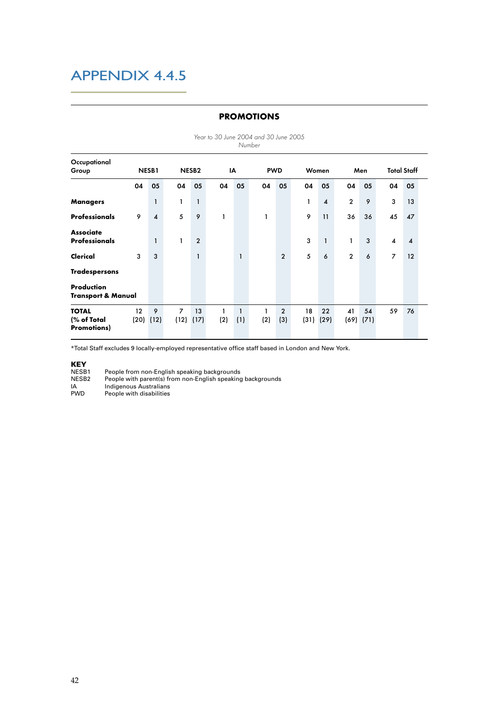|                                                   |                     |                        |                        |                   |          |                     | Number |                       |            |                         |                |            |                         |                        |  |
|---------------------------------------------------|---------------------|------------------------|------------------------|-------------------|----------|---------------------|--------|-----------------------|------------|-------------------------|----------------|------------|-------------------------|------------------------|--|
| Occupational<br>Group                             |                     | NESB1                  |                        | NESB <sub>2</sub> |          | IA                  |        | <b>PWD</b>            |            | Women                   |                | Men        |                         | <b>Total Staff</b>     |  |
|                                                   | 04                  | 05                     | 04                     | 05                | 04       | 05                  | 04     | 05                    | 04         | 05                      | 04             | 05         | 04                      | 05                     |  |
| <b>Managers</b>                                   |                     | 1                      | 1                      | $\mathbf{1}$      |          |                     |        |                       | 1          | $\overline{\mathbf{4}}$ | $\overline{2}$ | 9          | 3                       | 13                     |  |
| <b>Professionals</b>                              | 9                   | $\boldsymbol{\Lambda}$ | 5                      | 9                 | 1        |                     | 1      |                       | 9          | 11                      | 36             | 36         | 45                      | 47                     |  |
| <b>Associate</b><br><b>Professionals</b>          |                     | $\mathbf{1}$           | 1                      | $\overline{2}$    |          |                     |        |                       | 3          | $\mathbf{1}$            | 1              | 3          | $\overline{\mathbf{4}}$ | $\boldsymbol{\Lambda}$ |  |
| Clerical                                          | 3                   | 3                      |                        | $\mathbf{1}$      |          | $\mathbf{1}$        |        | $\overline{2}$        | 5          | 6                       | $\overline{2}$ | 6          | $\overline{7}$          | 12                     |  |
| <b>Tradespersons</b>                              |                     |                        |                        |                   |          |                     |        |                       |            |                         |                |            |                         |                        |  |
| Production<br><b>Transport &amp; Manual</b>       |                     |                        |                        |                   |          |                     |        |                       |            |                         |                |            |                         |                        |  |
| <b>TOTAL</b><br>(% of Total<br><b>Promotions)</b> | 12<br>$(20)$ $(12)$ | 9                      | $\overline{7}$<br>(12) | 13<br>(17)        | 1<br>(2) | $\mathbf{1}$<br>(1) | (2)    | $\overline{2}$<br>(3) | 18<br>(31) | 22<br>(29)              | 41<br>(69)     | 54<br>(71) | 59                      | 76                     |  |

#### **PROMOTIONS**

Year to 30 June 2004 and 30 June 2005

\*Total Staff excludes 9 locally-employed representative office staff based in London and New York.

**KEY**<br>NESB1<br>NESB2

NESB1 People from non-English speaking backgrounds NESB2 People with parent(s) from non-English speaking backgrounds

IA Indigenous Australians PWD People with disabilities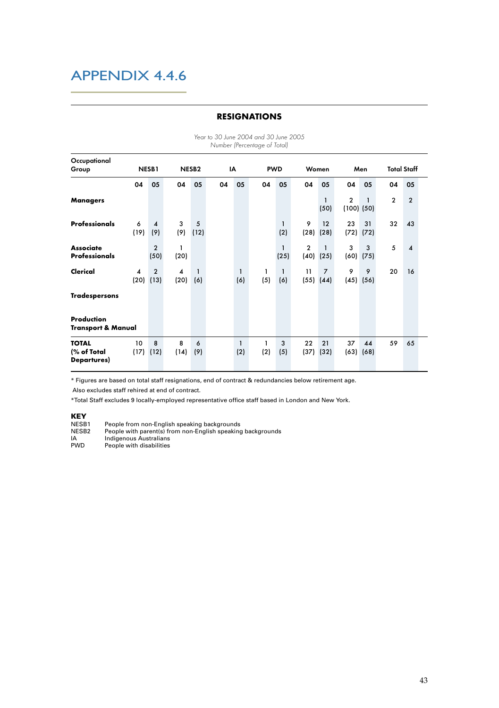|                                                   |            |                        |                   |                     |    |                     | Number (Percentage of Total) |                      |                        |                        |                |                     |                    |                  |  |
|---------------------------------------------------|------------|------------------------|-------------------|---------------------|----|---------------------|------------------------------|----------------------|------------------------|------------------------|----------------|---------------------|--------------------|------------------|--|
| Occupational<br>Group                             | NESB1      |                        | NESB <sub>2</sub> |                     | IA |                     | <b>PWD</b>                   |                      |                        | Women                  | Men            |                     | <b>Total Staff</b> |                  |  |
|                                                   | 04         | 05                     | 04                | 05                  | 04 | 05                  | 04                           | 05                   | 04                     | 05                     | 04             | 05                  | 04                 | 05               |  |
| Managers                                          |            |                        |                   |                     |    |                     |                              |                      |                        | 1<br>(50)              | $\overline{2}$ | 1<br>$(100)$ $(50)$ | $\overline{2}$     | $\overline{2}$   |  |
| <b>Professionals</b>                              | 6<br>(19)  | 4<br>(9)               | 3<br>(9)          | 5<br>(12)           |    |                     |                              | $\mathbf{1}$<br>(2)  | 9<br>(28)              | 12<br>(28)             | 23<br>(72)     | 31<br>(72)          | 32                 | 43               |  |
| <b>Associate</b><br><b>Professionals</b>          |            | $\overline{2}$<br>(50) | 1<br>(20)         |                     |    |                     |                              | $\mathbf{1}$<br>(25) | $\overline{2}$<br>(40) | 1<br>(25)              | 3<br>(60)      | 3<br>(75)           | 5                  | $\boldsymbol{A}$ |  |
| Clerical                                          | 4<br>(20)  | $\overline{2}$<br>(13) | 4<br>(20)         | $\mathbf{1}$<br>(6) |    | 1<br>(6)            | 1<br>(5)                     | $\mathbf{1}$<br>(6)  | 11<br>(55)             | $\overline{7}$<br>(44) | 9<br>(45)      | 9<br>(56)           | 20                 | 16               |  |
| <b>Tradespersons</b>                              |            |                        |                   |                     |    |                     |                              |                      |                        |                        |                |                     |                    |                  |  |
| Production<br><b>Transport &amp; Manual</b>       |            |                        |                   |                     |    |                     |                              |                      |                        |                        |                |                     |                    |                  |  |
| <b>TOTAL</b><br>(% of Total<br><b>Departures)</b> | 10<br>(17) | 8<br>(12)              | 8<br>(14)         | 6<br>(9)            |    | $\mathbf{1}$<br>(2) | 1<br>(2)                     | 3<br>(5)             | 22<br>(37)             | 21<br>(32)             | 37             | 44<br>$(63)$ $(68)$ | 59                 | 65               |  |

#### **RESIGNATIONS**

Year to 30 June 2004 and 30 June 2005

\* Figures are based on total staff resignations, end of contract & redundancies below retirement age.

Also excludes staff rehired at end of contract.

\*Total Staff excludes 9 locally-employed representative office staff based in London and New York.

**KEY**<br>NESB1

NESB1 People from non-English speaking backgrounds<br>NESB2 People with parent(s) from non-English speaking NESB2 People with parent(s) from non-English speaking backgrounds IA Indigenous Australians

PWD People with disabilities